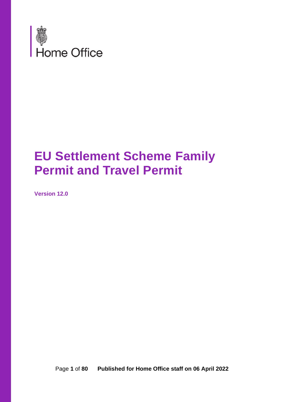

# **EU Settlement Scheme Family Permit and Travel Permit**

**Version 12.0**

Page **1** of **80 Published for Home Office staff on 06 April 2022**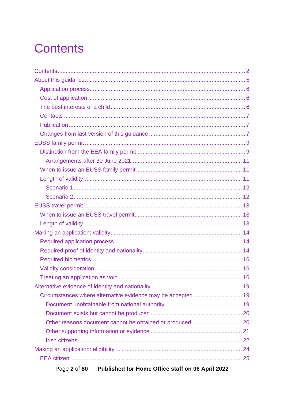# <span id="page-1-0"></span>**Contents**

| Circumstances where alternative evidence may be accepted  19 |  |
|--------------------------------------------------------------|--|
|                                                              |  |
|                                                              |  |
|                                                              |  |
|                                                              |  |
|                                                              |  |
|                                                              |  |
|                                                              |  |
|                                                              |  |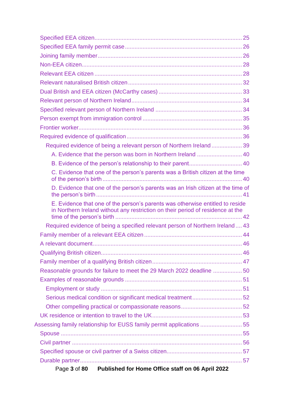| Required evidence of being a relevant person of Northern Ireland 39                                                                                              |  |
|------------------------------------------------------------------------------------------------------------------------------------------------------------------|--|
| A. Evidence that the person was born in Northern Ireland  40                                                                                                     |  |
| B. Evidence of the person's relationship to their parent 40                                                                                                      |  |
| C. Evidence that one of the person's parents was a British citizen at the time                                                                                   |  |
| D. Evidence that one of the person's parents was an Irish citizen at the time of                                                                                 |  |
| E. Evidence that one of the person's parents was otherwise entitled to reside<br>in Northern Ireland without any restriction on their period of residence at the |  |
| Required evidence of being a specified relevant person of Northern Ireland 43                                                                                    |  |
|                                                                                                                                                                  |  |
|                                                                                                                                                                  |  |
|                                                                                                                                                                  |  |
|                                                                                                                                                                  |  |
| Reasonable grounds for failure to meet the 29 March 2022 deadline 50                                                                                             |  |
|                                                                                                                                                                  |  |
|                                                                                                                                                                  |  |
|                                                                                                                                                                  |  |
|                                                                                                                                                                  |  |
|                                                                                                                                                                  |  |
| Assessing family relationship for EUSS family permit applications  55                                                                                            |  |
|                                                                                                                                                                  |  |
|                                                                                                                                                                  |  |
|                                                                                                                                                                  |  |
|                                                                                                                                                                  |  |
| Page 3 of 80 Published for Home Office staff on 06 April 2022                                                                                                    |  |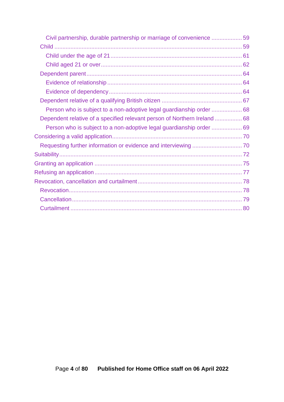| Civil partnership, durable partnership or marriage of convenience 59      |  |
|---------------------------------------------------------------------------|--|
|                                                                           |  |
|                                                                           |  |
|                                                                           |  |
|                                                                           |  |
|                                                                           |  |
|                                                                           |  |
|                                                                           |  |
| Person who is subject to a non-adoptive legal guardianship order  68      |  |
| Dependent relative of a specified relevant person of Northern Ireland  68 |  |
|                                                                           |  |
|                                                                           |  |
|                                                                           |  |
|                                                                           |  |
|                                                                           |  |
|                                                                           |  |
|                                                                           |  |
|                                                                           |  |
|                                                                           |  |
|                                                                           |  |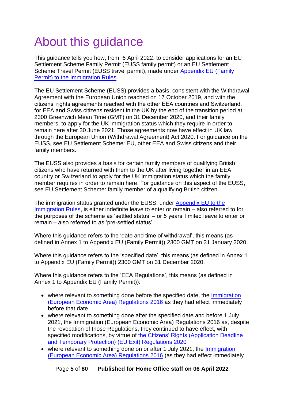# <span id="page-4-0"></span>About this guidance

This guidance tells you how, from 6 April 2022, to consider applications for an EU Settlement Scheme Family Permit (EUSS family permit) or an EU Settlement Scheme Travel Permit (EUSS travel permit), made under [Appendix EU \(Family](https://www.gov.uk/guidance/immigration-rules/appendix-eu-family-permit)  [Permit\) to the Immigration Rules.](https://www.gov.uk/guidance/immigration-rules/appendix-eu-family-permit)

The EU Settlement Scheme (EUSS) provides a basis, consistent with the Withdrawal Agreement with the European Union reached on 17 October 2019, and with the citizens' rights agreements reached with the other EEA countries and Switzerland, for EEA and Swiss citizens resident in the UK by the end of the transition period at 2300 Greenwich Mean Time (GMT) on 31 December 2020, and their family members, to apply for the UK immigration status which they require in order to remain here after 30 June 2021. Those agreements now have effect in UK law through the European Union (Withdrawal Agreement) Act 2020. For guidance on the EUSS, see EU Settlement Scheme: EU, other EEA and Swiss citizens and their family members.

The EUSS also provides a basis for certain family members of qualifying British citizens who have returned with them to the UK after living together in an EEA country or Switzerland to apply for the UK immigration status which the family member requires in order to remain here. For guidance on this aspect of the EUSS, see EU Settlement Scheme: family member of a qualifying British citizen.

The immigration status granted under the EUSS, under [Appendix EU to the](https://www.gov.uk/guidance/immigration-rules/immigration-rules-appendix-eu)  [Immigration Rules,](https://www.gov.uk/guidance/immigration-rules/immigration-rules-appendix-eu) is either indefinite leave to enter or remain – also referred to for the purposes of the scheme as 'settled status' – or 5 years' limited leave to enter or remain – also referred to as 'pre-settled status'.

Where this guidance refers to the 'date and time of withdrawal', this means (as defined in Annex 1 to Appendix EU (Family Permit)) 2300 GMT on 31 January 2020.

Where this guidance refers to the 'specified date', this means (as defined in Annex 1 to Appendix EU (Family Permit)) 2300 GMT on 31 December 2020.

Where this guidance refers to the 'EEA Regulations', this means (as defined in Annex 1 to Appendix EU (Family Permit)):

- where relevant to something done before the specified date, the Immigration [\(European Economic Area\) Regulations 2016](http://www.legislation.gov.uk/uksi/2016/1052/contents) as they had effect immediately before that date
- where relevant to something done after the specified date and before 1 July 2021, the Immigration (European Economic Area) Regulations 2016 as, despite the revocation of those Regulations, they continued to have effect, with specified modifications, by virtue of [the Citizens' Rights \(Application Deadline](https://www.legislation.gov.uk/ukdsi/2020/9780348212204/contents)  [and Temporary Protection\) \(EU Exit\) Regulations 2020](https://www.legislation.gov.uk/ukdsi/2020/9780348212204/contents)
- where relevant to something done on or after 1 July 2021, the Immigration [\(European Economic Area\) Regulations 2016](http://www.legislation.gov.uk/uksi/2016/1052/contents) (as they had effect immediately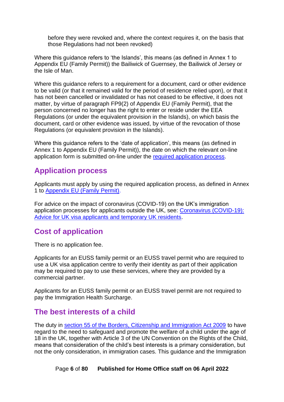before they were revoked and, where the context requires it, on the basis that those Regulations had not been revoked)

Where this guidance refers to 'the Islands', this means (as defined in Annex 1 to Appendix EU (Family Permit)) the Bailiwick of Guernsey, the Bailiwick of Jersey or the Isle of Man.

Where this guidance refers to a requirement for a document, card or other evidence to be valid (or that it remained valid for the period of residence relied upon), or that it has not been cancelled or invalidated or has not ceased to be effective, it does not matter, by virtue of paragraph FP9(2) of Appendix EU (Family Permit), that the person concerned no longer has the right to enter or reside under the EEA Regulations (or under the equivalent provision in the Islands), on which basis the document, card or other evidence was issued, by virtue of the revocation of those Regulations (or equivalent provision in the Islands).

Where this guidance refers to the 'date of application', this means (as defined in Annex 1 to Appendix EU (Family Permit)), the date on which the relevant on-line application form is submitted on-line under the [required application process.](#page-13-1)

## <span id="page-5-0"></span>**Application process**

Applicants must apply by using the required application process, as defined in Annex 1 to [Appendix EU \(Family Permit\).](https://www.gov.uk/guidance/immigration-rules/appendix-eu-family-permit)

For advice on the impact of coronavirus (COVID-19) on the UK's immigration application processes for applicants outside the UK, see: [Coronavirus \(COVID-19\):](https://www.gov.uk/guidance/coronavirus-covid-19-advice-for-uk-visa-applicants-and-temporary-uk-residents)  [Advice for UK visa applicants and temporary UK residents.](https://www.gov.uk/guidance/coronavirus-covid-19-advice-for-uk-visa-applicants-and-temporary-uk-residents)

# <span id="page-5-1"></span>**Cost of application**

There is no application fee.

Applicants for an EUSS family permit or an EUSS travel permit who are required to use a UK visa application centre to verify their identity as part of their application may be required to pay to use these services, where they are provided by a commercial partner.

Applicants for an EUSS family permit or an EUSS travel permit are not required to pay the Immigration Health Surcharge.

## <span id="page-5-2"></span>**The best interests of a child**

The duty in [section 55 of the Borders, Citizenship and Immigration Act 2009](https://www.legislation.gov.uk/ukpga/2009/11/section/55) to have regard to the need to safeguard and promote the welfare of a child under the age of 18 in the UK, together with Article 3 of the UN Convention on the Rights of the Child, means that consideration of the child's best interests is a primary consideration, but not the only consideration, in immigration cases. This guidance and the Immigration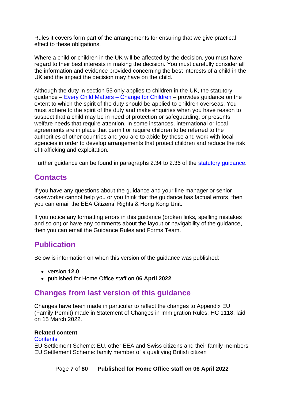Rules it covers form part of the arrangements for ensuring that we give practical effect to these obligations.

Where a child or children in the UK will be affected by the decision, you must have regard to their best interests in making the decision. You must carefully consider all the information and evidence provided concerning the best interests of a child in the UK and the impact the decision may have on the child.

Although the duty in section 55 only applies to children in the UK, the statutory guidance – [Every Child Matters –](https://www.gov.uk/government/publications/every-child-matters-statutory-guidance) Change for Children – provides guidance on the extent to which the spirit of the duty should be applied to children overseas. You must adhere to the spirit of the duty and make enquiries when you have reason to suspect that a child may be in need of protection or safeguarding, or presents welfare needs that require attention. In some instances, international or local agreements are in place that permit or require children to be referred to the authorities of other countries and you are to abide by these and work with local agencies in order to develop arrangements that protect children and reduce the risk of trafficking and exploitation.

Further guidance can be found in paragraphs 2.34 to 2.36 of the [statutory guidance.](https://www.gov.uk/government/publications/every-child-matters-statutory-guidance)

## <span id="page-6-0"></span>**Contacts**

If you have any questions about the guidance and your line manager or senior caseworker cannot help you or you think that the guidance has factual errors, then you can email the EEA Citizens' Rights & Hong Kong Unit.

If you notice any formatting errors in this guidance (broken links, spelling mistakes and so on) or have any comments about the layout or navigability of the guidance, then you can email the Guidance Rules and Forms Team.

## <span id="page-6-1"></span>**Publication**

Below is information on when this version of the guidance was published:

- version **12.0**
- published for Home Office staff on **06 April 2022**

## <span id="page-6-2"></span>**Changes from last version of this guidance**

Changes have been made in particular to reflect the changes to Appendix EU (Family Permit) made in Statement of Changes in Immigration Rules: HC 1118, laid on 15 March 2022.

#### **Related content**

#### **[Contents](#page-1-0)**

EU Settlement Scheme: EU, other EEA and Swiss citizens and their family members EU Settlement Scheme: family member of a qualifying British citizen

Page **7** of **80 Published for Home Office staff on 06 April 2022**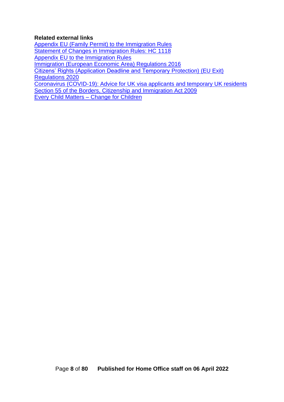#### **Related external links**

[Appendix EU \(Family Permit\) to the Immigration Rules](https://www.gov.uk/guidance/immigration-rules/appendix-eu-family-permit) [Statement of Changes in Immigration Rules: HC 1118](https://www.gov.uk/government/publications/statement-of-changes-to-the-immigration-rules-hc-1118-15-march-2022) [Appendix EU to the Immigration Rules](https://www.gov.uk/guidance/immigration-rules/immigration-rules-appendix-eu) [Immigration \(European Economic Area\) Regulations 2016](http://www.legislation.gov.uk/uksi/2016/1052/contents) [Citizens' Rights \(Application Deadline and Temporary Protection\) \(EU Exit\)](https://www.legislation.gov.uk/ukdsi/2020/9780348212204/contents)  [Regulations 2020](https://www.legislation.gov.uk/ukdsi/2020/9780348212204/contents) [Coronavirus \(COVID-19\): Advice for UK visa applicants and temporary UK residents](https://www.gov.uk/guidance/coronavirus-covid-19-advice-for-uk-visa-applicants-and-temporary-uk-residents) [Section 55 of the Borders, Citizenship and Immigration Act 2009](https://www.legislation.gov.uk/ukpga/2009/11/section/55) [Every Child Matters –](https://www.gov.uk/government/publications/every-child-matters-statutory-guidance) Change for Children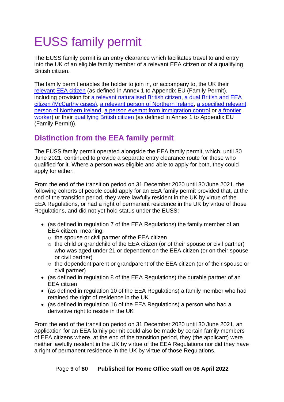# <span id="page-8-0"></span>EUSS family permit

The EUSS family permit is an entry clearance which facilitates travel to and entry into the UK of an eligible family member of a relevant EEA citizen or of a qualifying British citizen.

The family permit enables the holder to join in, or accompany to, the UK their [relevant EEA citizen](#page-27-1) (as defined in Annex 1 to Appendix EU (Family Permit), including provision for [a relevant naturalised British citizen,](#page-31-0) [a dual British and EEA](#page-32-0)  [citizen \(McCarthy cases\),](#page-32-0) [a relevant person of Northern Ireland,](#page-33-0) a [specified relevant](#page-33-1)  [person of Northern Ireland,](#page-33-1) [a person exempt from immigration control](#page-34-0) or [a frontier](#page-35-0)  [worker\)](#page-35-0) or their [qualifying British citizen](#page-45-1) (as defined in Annex 1 to Appendix EU (Family Permit)).

# <span id="page-8-1"></span>**Distinction from the EEA family permit**

The EUSS family permit operated alongside the EEA family permit, which, until 30 June 2021, continued to provide a separate entry clearance route for those who qualified for it. Where a person was eligible and able to apply for both, they could apply for either.

From the end of the transition period on 31 December 2020 until 30 June 2021, the following cohorts of people could apply for an EEA family permit provided that, at the end of the transition period, they were lawfully resident in the UK by virtue of the EEA Regulations, or had a right of permanent residence in the UK by virtue of those Regulations, and did not yet hold status under the EUSS:

- (as defined in regulation 7 of the EEA Regulations) the family member of an EEA citizen, meaning:
	- o the spouse or civil partner of the EEA citizen
	- $\circ$  the child or grandchild of the EEA citizen (or of their spouse or civil partner) who was aged under 21 or dependent on the EEA citizen (or on their spouse or civil partner)
	- o the dependent parent or grandparent of the EEA citizen (or of their spouse or civil partner)
- (as defined in regulation 8 of the EEA Regulations) the durable partner of an EEA citizen
- (as defined in regulation 10 of the EEA Regulations) a family member who had retained the right of residence in the UK
- (as defined in regulation 16 of the EEA Regulations) a person who had a derivative right to reside in the UK

From the end of the transition period on 31 December 2020 until 30 June 2021, an application for an EEA family permit could also be made by certain family members of EEA citizens where, at the end of the transition period, they (the applicant) were neither lawfully resident in the UK by virtue of the EEA Regulations nor did they have a right of permanent residence in the UK by virtue of those Regulations.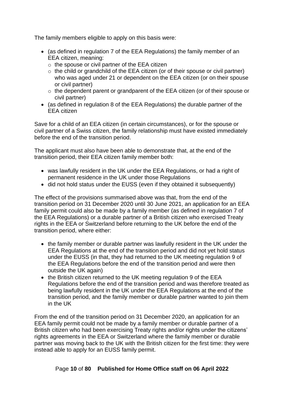The family members eligible to apply on this basis were:

- (as defined in regulation 7 of the EEA Regulations) the family member of an EEA citizen, meaning:
	- $\circ$  the spouse or civil partner of the EEA citizen
	- $\circ$  the child or grandchild of the EEA citizen (or of their spouse or civil partner) who was aged under 21 or dependent on the EEA citizen (or on their spouse or civil partner)
	- o the dependent parent or grandparent of the EEA citizen (or of their spouse or civil partner)
- (as defined in regulation 8 of the EEA Regulations) the durable partner of the EEA citizen

Save for a child of an EEA citizen (in certain circumstances), or for the spouse or civil partner of a Swiss citizen, the family relationship must have existed immediately before the end of the transition period.

The applicant must also have been able to demonstrate that, at the end of the transition period, their EEA citizen family member both:

- was lawfully resident in the UK under the EEA Regulations, or had a right of permanent residence in the UK under those Regulations
- did not hold status under the EUSS (even if they obtained it subsequently)

The effect of the provisions summarised above was that, from the end of the transition period on 31 December 2020 until 30 June 2021, an application for an EEA family permit could also be made by a family member (as defined in regulation 7 of the EEA Regulations) or a durable partner of a British citizen who exercised Treaty rights in the EEA or Switzerland before returning to the UK before the end of the transition period, where either:

- the family member or durable partner was lawfully resident in the UK under the EEA Regulations at the end of the transition period and did not yet hold status under the EUSS (in that, they had returned to the UK meeting regulation 9 of the EEA Regulations before the end of the transition period and were then outside the UK again)
- the British citizen returned to the UK meeting regulation 9 of the EEA Regulations before the end of the transition period and was therefore treated as being lawfully resident in the UK under the EEA Regulations at the end of the transition period, and the family member or durable partner wanted to join them in the UK

From the end of the transition period on 31 December 2020, an application for an EEA family permit could not be made by a family member or durable partner of a British citizen who had been exercising Treaty rights and/or rights under the citizens' rights agreements in the EEA or Switzerland where the family member or durable partner was moving back to the UK with the British citizen for the first time: they were instead able to apply for an EUSS family permit.

Page **10** of **80 Published for Home Office staff on 06 April 2022**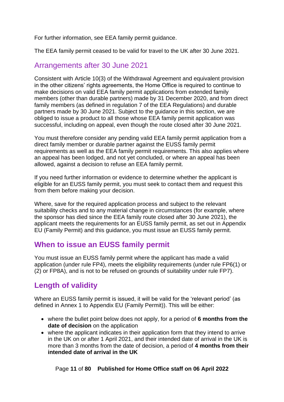For further information, see EEA family permit guidance.

The EEA family permit ceased to be valid for travel to the UK after 30 June 2021.

## <span id="page-10-0"></span>Arrangements after 30 June 2021

Consistent with Article 10(3) of the Withdrawal Agreement and equivalent provision in the other citizens' rights agreements, the Home Office is required to continue to make decisions on valid EEA family permit applications from extended family members (other than durable partners) made by 31 December 2020, and from direct family members (as defined in regulation 7 of the EEA Regulations) and durable partners made by 30 June 2021. Subject to the guidance in this section, we are obliged to issue a product to all those whose EEA family permit application was successful, including on appeal, even though the route closed after 30 June 2021.

You must therefore consider any pending valid EEA family permit application from a direct family member or durable partner against the EUSS family permit requirements as well as the EEA family permit requirements. This also applies where an appeal has been lodged, and not yet concluded, or where an appeal has been allowed, against a decision to refuse an EEA family permit.

If you need further information or evidence to determine whether the applicant is eligible for an EUSS family permit, you must seek to contact them and request this from them before making your decision.

Where, save for the required application process and subject to the relevant suitability checks and to any material change in circumstances (for example, where the sponsor has died since the EEA family route closed after 30 June 2021), the applicant meets the requirements for an EUSS family permit, as set out in Appendix EU (Family Permit) and this guidance, you must issue an EUSS family permit.

## <span id="page-10-1"></span>**When to issue an EUSS family permit**

You must issue an EUSS family permit where the applicant has made a valid application (under rule FP4), meets the eligibility requirements (under rule FP6(1) or (2) or FP8A), and is not to be refused on grounds of suitability under rule FP7).

## <span id="page-10-2"></span>**Length of validity**

Where an EUSS family permit is issued, it will be valid for the 'relevant period' (as defined in Annex 1 to Appendix EU (Family Permit)). This will be either:

- where the bullet point below does not apply, for a period of **6 months from the date of decision** on the application
- where the applicant indicates in their application form that they intend to arrive in the UK on or after 1 April 2021, and their intended date of arrival in the UK is more than 3 months from the date of decision, a period of **4 months from their intended date of arrival in the UK**

Page **11** of **80 Published for Home Office staff on 06 April 2022**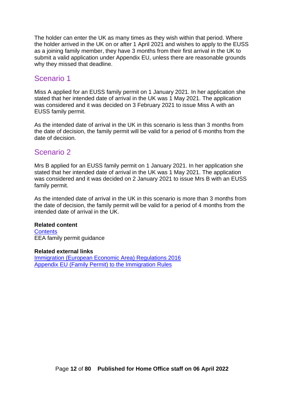The holder can enter the UK as many times as they wish within that period. Where the holder arrived in the UK on or after 1 April 2021 and wishes to apply to the EUSS as a joining family member, they have 3 months from their first arrival in the UK to submit a valid application under Appendix EU, unless there are reasonable grounds why they missed that deadline.

### <span id="page-11-0"></span>Scenario 1

Miss A applied for an EUSS family permit on 1 January 2021. In her application she stated that her intended date of arrival in the UK was 1 May 2021. The application was considered and it was decided on 3 February 2021 to issue Miss A with an EUSS family permit.

As the intended date of arrival in the UK in this scenario is less than 3 months from the date of decision, the family permit will be valid for a period of 6 months from the date of decision.

### <span id="page-11-1"></span>Scenario 2

Mrs B applied for an EUSS family permit on 1 January 2021. In her application she stated that her intended date of arrival in the UK was 1 May 2021. The application was considered and it was decided on 2 January 2021 to issue Mrs B with an EUSS family permit.

As the intended date of arrival in the UK in this scenario is more than 3 months from the date of decision, the family permit will be valid for a period of 4 months from the intended date of arrival in the UK.

#### **Related content**

**[Contents](#page-1-0)** EEA family permit guidance

#### **Related external links**

[Immigration \(European Economic Area\) Regulations 2016](http://www.legislation.gov.uk/uksi/2016/1052/contents) [Appendix EU \(Family Permit\) to the Immigration Rules](https://www.gov.uk/guidance/immigration-rules/appendix-eu-family-permit)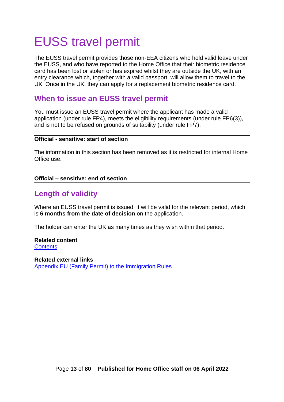# <span id="page-12-0"></span>EUSS travel permit

The EUSS travel permit provides those non-EEA citizens who hold valid leave under the EUSS, and who have reported to the Home Office that their biometric residence card has been lost or stolen or has expired whilst they are outside the UK, with an entry clearance which, together with a valid passport, will allow them to travel to the UK. Once in the UK, they can apply for a replacement biometric residence card.

## <span id="page-12-1"></span>**When to issue an EUSS travel permit**

You must issue an EUSS travel permit where the applicant has made a valid application (under rule FP4), meets the eligibility requirements (under rule FP6(3)), and is not to be refused on grounds of suitability (under rule FP7).

#### **Official - sensitive: start of section**

The information in this section has been removed as it is restricted for internal Home Office use.

#### **Official – sensitive: end of section**

## <span id="page-12-2"></span>**Length of validity**

Where an EUSS travel permit is issued, it will be valid for the relevant period, which is **6 months from the date of decision** on the application.

The holder can enter the UK as many times as they wish within that period.

#### **Related content [Contents](#page-1-0)**

**Related external links** [Appendix EU \(Family Permit\) to the Immigration Rules](https://www.gov.uk/guidance/immigration-rules/appendix-eu-family-permit)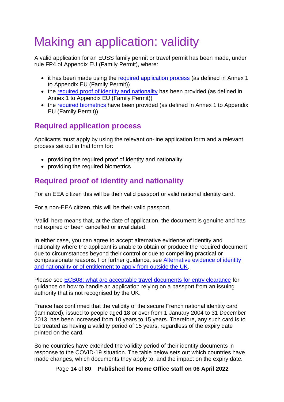# <span id="page-13-0"></span>Making an application: validity

A valid application for an EUSS family permit or travel permit has been made, under rule FP4 of Appendix EU (Family Permit), where:

- it has been made using the [required application process](#page-13-1) (as defined in Annex 1 to Appendix EU (Family Permit))
- the [required proof of identity and nationality](#page-13-2) has been provided (as defined in Annex 1 to Appendix EU (Family Permit))
- the [required biometrics](#page-15-0) have been provided (as defined in Annex 1 to Appendix EU (Family Permit))

# <span id="page-13-1"></span>**Required application process**

Applicants must apply by using the relevant on-line application form and a relevant process set out in that form for:

- providing the required proof of identity and nationality
- providing the required biometrics

# <span id="page-13-2"></span>**Required proof of identity and nationality**

For an EEA citizen this will be their valid passport or valid national identity card.

For a non-EEA citizen, this will be their valid passport.

'Valid' here means that, at the date of application, the document is genuine and has not expired or been cancelled or invalidated.

In either case, you can agree to accept alternative evidence of identity and nationality where the applicant is unable to obtain or produce the required document due to circumstances beyond their control or due to compelling practical or compassionate reasons. For further guidance, see **Alternative evidence of identity** [and nationality or of entitlement to apply from outside the UK.](#page-17-0)

Please see [ECB08: what are acceptable travel documents for entry clearance](https://www.gov.uk/government/publications/what-are-acceptable-travel-documents-for-entry-clearance-ecb08/ecb08-what-are-acceptable-travel-documents-for-entry-clearance) for guidance on how to handle an application relying on a passport from an issuing authority that is not recognised by the UK.

France has confirmed that the validity of the secure French national identity card (laminated), issued to people aged 18 or over from 1 January 2004 to 31 December 2013, has been increased from 10 years to 15 years. Therefore, any such card is to be treated as having a validity period of 15 years, regardless of the expiry date printed on the card.

Some countries have extended the validity period of their identity documents in response to the COVID-19 situation. The table below sets out which countries have made changes, which documents they apply to, and the impact on the expiry date.

Page **14** of **80 Published for Home Office staff on 06 April 2022**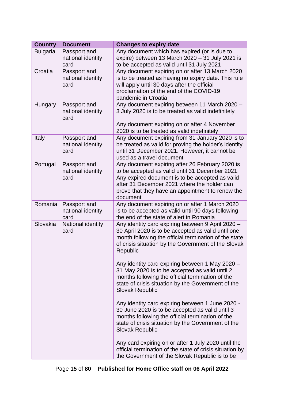| <b>Country</b>  | <b>Document</b>                           | <b>Changes to expiry date</b>                                                                                                                                                                                                                                        |
|-----------------|-------------------------------------------|----------------------------------------------------------------------------------------------------------------------------------------------------------------------------------------------------------------------------------------------------------------------|
| <b>Bulgaria</b> | Passport and<br>national identity<br>card | Any document which has expired (or is due to<br>expire) between 13 March $2020 - 31$ July 2021 is<br>to be accepted as valid until 31 July 2021                                                                                                                      |
| Croatia         | Passport and<br>national identity<br>card | Any document expiring on or after 13 March 2020<br>is to be treated as having no expiry date. This rule<br>will apply until 30 days after the official<br>proclamation of the end of the COVID-19<br>pandemic in Croatia                                             |
| Hungary         | Passport and<br>national identity<br>card | Any document expiring between 11 March 2020 -<br>3 July 2020 is to be treated as valid indefinitely<br>Any document expiring on or after 4 November<br>2020 is to be treated as valid indefinitely                                                                   |
| Italy           | Passport and<br>national identity<br>card | Any document expiring from 31 January 2020 is to<br>be treated as valid for proving the holder's identity<br>until 31 December 2021. However, it cannot be<br>used as a travel document                                                                              |
| Portugal        | Passport and<br>national identity<br>card | Any document expiring after 26 February 2020 is<br>to be accepted as valid until 31 December 2021.<br>Any expired document is to be accepted as valid<br>after 31 December 2021 where the holder can<br>prove that they have an appointment to renew the<br>document |
| Romania         | Passport and<br>national identity<br>card | Any document expiring on or after 1 March 2020<br>is to be accepted as valid until 90 days following<br>the end of the state of alert in Romania                                                                                                                     |
| Slovakia        | National identity<br>card                 | Any identity card expiring between 9 April 2020 -<br>30 April 2020 is to be accepted as valid until one<br>month following the official termination of the state<br>of crisis situation by the Government of the Slovak<br>Republic                                  |
|                 |                                           | Any identity card expiring between 1 May 2020 -<br>31 May 2020 is to be accepted as valid until 2<br>months following the official termination of the<br>state of crisis situation by the Government of the<br><b>Slovak Republic</b>                                |
|                 |                                           | Any identity card expiring between 1 June 2020 -<br>30 June 2020 is to be accepted as valid until 3<br>months following the official termination of the<br>state of crisis situation by the Government of the<br><b>Slovak Republic</b>                              |
|                 |                                           | Any card expiring on or after 1 July 2020 until the<br>official termination of the state of crisis situation by<br>the Government of the Slovak Republic is to be                                                                                                    |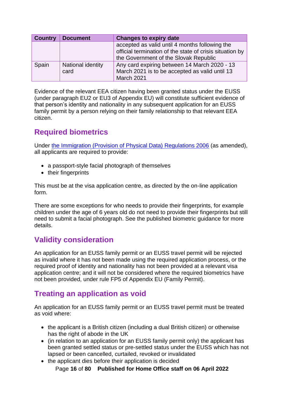| <b>Country</b> | <b>Document</b>           | <b>Changes to expiry date</b>                                                                                                                       |
|----------------|---------------------------|-----------------------------------------------------------------------------------------------------------------------------------------------------|
|                |                           | accepted as valid until 4 months following the<br>official termination of the state of crisis situation by<br>the Government of the Slovak Republic |
| Spain          | National identity<br>card | Any card expiring between 14 March 2020 - 13<br>March 2021 is to be accepted as valid until 13<br>March 2021                                        |

Evidence of the relevant EEA citizen having been granted status under the EUSS (under paragraph EU2 or EU3 of Appendix EU) will constitute sufficient evidence of that person's identity and nationality in any subsequent application for an EUSS family permit by a person relying on their family relationship to that relevant EEA citizen.

## <span id="page-15-0"></span>**Required biometrics**

Under [the Immigration \(Provision of Physical Data\) Regulations 2006](https://www.legislation.gov.uk/uksi/2006/1743/contents/made) (as amended), all applicants are required to provide:

- a passport-style facial photograph of themselves
- their fingerprints

This must be at the visa application centre, as directed by the on-line application form.

There are some exceptions for who needs to provide their fingerprints, for example children under the age of 6 years old do not need to provide their fingerprints but still need to submit a facial photograph. See the published biometric guidance for more details.

## <span id="page-15-1"></span>**Validity consideration**

An application for an EUSS family permit or an EUSS travel permit will be rejected as invalid where it has not been made using the required application process, or the required proof of identity and nationality has not been provided at a relevant visa application centre; and it will not be considered where the required biometrics have not been provided, under rule FP5 of Appendix EU (Family Permit).

## <span id="page-15-2"></span>**Treating an application as void**

An application for an EUSS family permit or an EUSS travel permit must be treated as void where:

- the applicant is a British citizen (including a dual British citizen) or otherwise has the right of abode in the UK
- (in relation to an application for an EUSS family permit only) the applicant has been granted settled status or pre-settled status under the EUSS which has not lapsed or been cancelled, curtailed, revoked or invalidated
- the applicant dies before their application is decided

Page **16** of **80 Published for Home Office staff on 06 April 2022**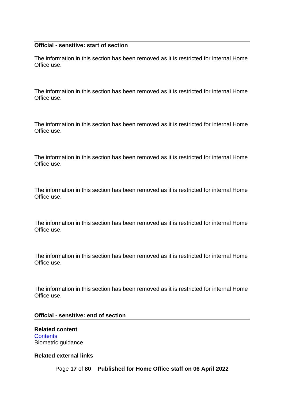#### **Official - sensitive: start of section**

The information in this section has been removed as it is restricted for internal Home Office use.

The information in this section has been removed as it is restricted for internal Home Office use.

The information in this section has been removed as it is restricted for internal Home Office use.

The information in this section has been removed as it is restricted for internal Home Office use.

The information in this section has been removed as it is restricted for internal Home Office use.

The information in this section has been removed as it is restricted for internal Home Office use.

The information in this section has been removed as it is restricted for internal Home Office use.

The information in this section has been removed as it is restricted for internal Home Office use.

#### **Official - sensitive: end of section**

**Related content [Contents](#page-1-0)** Biometric guidance

#### **Related external links**

Page **17** of **80 Published for Home Office staff on 06 April 2022**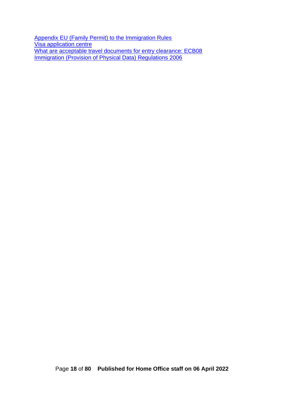<span id="page-17-0"></span>[Appendix EU \(Family Permit\) to the Immigration Rules](https://www.gov.uk/guidance/immigration-rules/appendix-eu-family-permit) **[Visa application centre](https://www.gov.uk/find-a-visa-application-centre)** [What are acceptable travel documents for entry clearance: ECB08](https://www.gov.uk/government/publications/what-are-acceptable-travel-documents-for-entry-clearance-ecb08) [Immigration \(Provision of Physical Data\) Regulations 2006](https://www.legislation.gov.uk/uksi/2006/1743/contents/made)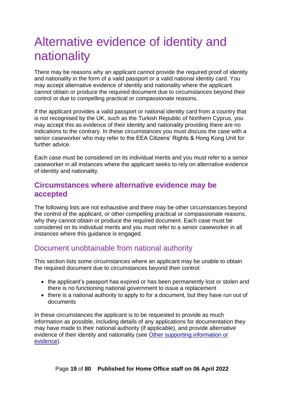# <span id="page-18-0"></span>Alternative evidence of identity and nationality

There may be reasons why an applicant cannot provide the required proof of identity and nationality in the form of a valid passport or a valid national identity card. You may accept alternative evidence of identity and nationality where the applicant cannot obtain or produce the required document due to circumstances beyond their control or due to compelling practical or compassionate reasons.

If the applicant provides a valid passport or national identity card from a country that is not recognised by the UK, such as the Turkish Republic of Northern Cyprus, you may accept this as evidence of their identity and nationality providing there are no indications to the contrary. In these circumstances you must discuss the case with a senior caseworker who may refer to the EEA Citizens' Rights & Hong Kong Unit for further advice.

Each case must be considered on its individual merits and you must refer to a senior caseworker in all instances where the applicant seeks to rely on alternative evidence of identity and nationality.

### <span id="page-18-1"></span>**Circumstances where alternative evidence may be accepted**

The following lists are not exhaustive and there may be other circumstances beyond the control of the applicant, or other compelling practical or compassionate reasons, why they cannot obtain or produce the required document. Each case must be considered on its individual merits and you must refer to a senior caseworker in all instances where this guidance is engaged.

## <span id="page-18-2"></span>Document unobtainable from national authority

This section lists some circumstances where an applicant may be unable to obtain the required document due to circumstances beyond their control:

- the applicant's passport has expired or has been permanently lost or stolen and there is no functioning national government to issue a replacement
- there is a national authority to apply to for a document, but they have run out of documents

In these circumstances the applicant is to be requested to provide as much information as possible, including details of any applications for documentation they may have made to their national authority (if applicable), and provide alternative evidence of their identity and nationality (see [Other supporting information or](#page-20-0)  [evidence\)](#page-20-0).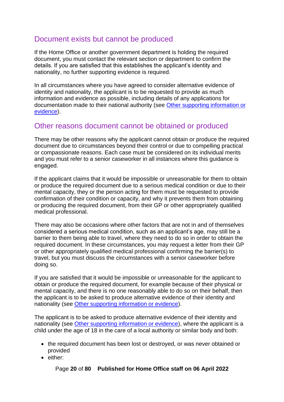## <span id="page-19-0"></span>Document exists but cannot be produced

If the Home Office or another government department is holding the required document, you must contact the relevant section or department to confirm the details. If you are satisfied that this establishes the applicant's identity and nationality, no further supporting evidence is required.

In all circumstances where you have agreed to consider alternative evidence of identity and nationality, the applicant is to be requested to provide as much information and evidence as possible, including details of any applications for documentation made to their national authority (see [Other supporting information or](#page-20-0)  [evidence\)](#page-20-0).

## <span id="page-19-1"></span>Other reasons document cannot be obtained or produced

There may be other reasons why the applicant cannot obtain or produce the required document due to circumstances beyond their control or due to compelling practical or compassionate reasons. Each case must be considered on its individual merits and you must refer to a senior caseworker in all instances where this guidance is engaged.

If the applicant claims that it would be impossible or unreasonable for them to obtain or produce the required document due to a serious medical condition or due to their mental capacity, they or the person acting for them must be requested to provide confirmation of their condition or capacity, and why it prevents them from obtaining or producing the required document, from their GP or other appropriately qualified medical professional.

There may also be occasions where other factors that are not in and of themselves considered a serious medical condition, such as an applicant's age, may still be a barrier to them being able to travel, where they need to do so in order to obtain the required document. In these circumstances, you may request a letter from their GP or other appropriately qualified medical professional confirming the barrier(s) to travel, but you must discuss the circumstances with a senior caseworker before doing so.

If you are satisfied that it would be impossible or unreasonable for the applicant to obtain or produce the required document, for example because of their physical or mental capacity, and there is no one reasonably able to do so on their behalf, then the applicant is to be asked to produce alternative evidence of their identity and nationality (see [Other supporting information or evidence\)](#page-20-0).

The applicant is to be asked to produce alternative evidence of their identity and nationality (see [Other supporting information or evidence\)](#page-20-0), where the applicant is a child under the age of 18 in the care of a local authority or similar body and both:

- the required document has been lost or destroyed, or was never obtained or provided
- either:

Page **20** of **80 Published for Home Office staff on 06 April 2022**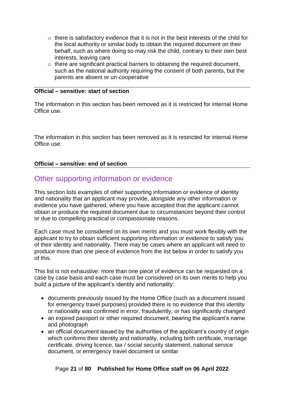- o there is satisfactory evidence that it is not in the best interests of the child for the local authority or similar body to obtain the required document on their behalf, such as where doing so may risk the child, contrary to their own best interests, leaving care
- $\circ$  there are significant practical barriers to obtaining the required document, such as the national authority requiring the consent of both parents, but the parents are absent or un-cooperative

#### **Official – sensitive: start of section**

The information in this section has been removed as it is restricted for internal Home Office use.

The information in this section has been removed as it is restricted for internal Home Office use.

#### **Official – sensitive: end of section**

### <span id="page-20-0"></span>Other supporting information or evidence

This section lists examples of other supporting information or evidence of identity and nationality that an applicant may provide, alongside any other information or evidence you have gathered, where you have accepted that the applicant cannot obtain or produce the required document due to circumstances beyond their control or due to compelling practical or compassionate reasons.

Each case must be considered on its own merits and you must work flexibly with the applicant to try to obtain sufficient supporting information or evidence to satisfy you of their identity and nationality. There may be cases where an applicant will need to produce more than one piece of evidence from the list below in order to satisfy you of this.

This list is not exhaustive: more than one piece of evidence can be requested on a case by case basis and each case must be considered on its own merits to help you build a picture of the applicant's identity and nationality:

- documents previously issued by the Home Office (such as a document issued for emergency travel purposes) provided there is no evidence that this identity or nationality was confirmed in error, fraudulently, or has significantly changed
- an expired passport or other required document, bearing the applicant's name and photograph
- an official document issued by the authorities of the applicant's country of origin which confirms their identity and nationality, including birth certificate, marriage certificate, driving licence, tax / social security statement, national service document, or emergency travel document or similar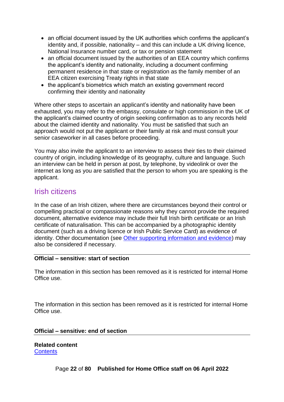- an official document issued by the UK authorities which confirms the applicant's identity and, if possible, nationality – and this can include a UK driving licence, National Insurance number card, or tax or pension statement
- an official document issued by the authorities of an EEA country which confirms the applicant's identity and nationality, including a document confirming permanent residence in that state or registration as the family member of an EEA citizen exercising Treaty rights in that state
- the applicant's biometrics which match an existing government record confirming their identity and nationality

Where other steps to ascertain an applicant's identity and nationality have been exhausted, you may refer to the embassy, consulate or high commission in the UK of the applicant's claimed country of origin seeking confirmation as to any records held about the claimed identity and nationality. You must be satisfied that such an approach would not put the applicant or their family at risk and must consult your senior caseworker in all cases before proceeding.

You may also invite the applicant to an interview to assess their ties to their claimed country of origin, including knowledge of its geography, culture and language. Such an interview can be held in person at post, by telephone, by videolink or over the internet as long as you are satisfied that the person to whom you are speaking is the applicant.

### <span id="page-21-0"></span>Irish citizens

In the case of an Irish citizen, where there are circumstances beyond their control or compelling practical or compassionate reasons why they cannot provide the required document, alternative evidence may include their full Irish birth certificate or an Irish certificate of naturalisation. This can be accompanied by a photographic identity document (such as a driving licence or Irish Public Service Card) as evidence of identity. Other documentation (see [Other supporting information and evidence\)](#page-20-0) may also be considered if necessary.

#### **Official – sensitive: start of section**

The information in this section has been removed as it is restricted for internal Home Office use.

The information in this section has been removed as it is restricted for internal Home Office use.

#### **Official – sensitive: end of section**

**Related content [Contents](#page-1-0)**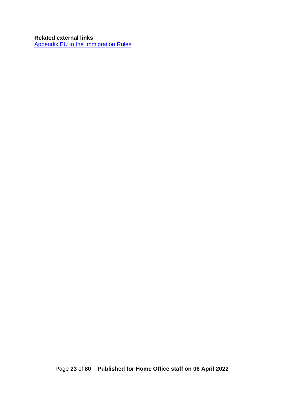### **Related external links**

[Appendix EU to the Immigration Rules](https://www.gov.uk/guidance/immigration-rules/immigration-rules-appendix-eu)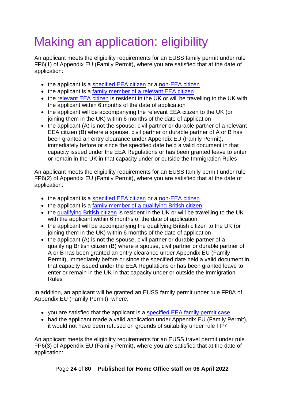# <span id="page-23-0"></span>Making an application: eligibility

An applicant meets the eligibility requirements for an EUSS family permit under rule FP6(1) of Appendix EU (Family Permit), where you are satisfied that at the date of application:

- the applicant is a [specified EEA](#page-24-1) citizen or a [non-EEA citizen](#page-27-0)
- the applicant is a family member of a relevant EEA citizen
- the [relevant EEA citizen](#page-27-1) is resident in the UK or will be travelling to the UK with the applicant within 6 months of the date of application
- the applicant will be accompanying the relevant EEA citizen to the UK (or joining them in the UK) within 6 months of the date of application
- the applicant (A) is not the spouse, civil partner or durable partner of a relevant EEA citizen (B) where a spouse, civil partner or durable partner of A or B has been granted an entry clearance under Appendix EU (Family Permit), immediately before or since the specified date held a valid document in that capacity issued under the EEA Regulations or has been granted leave to enter or remain in the UK in that capacity under or outside the Immigration Rules

An applicant meets the eligibility requirements for an EUSS family permit under rule FP6(2) of Appendix EU (Family Permit), where you are satisfied that at the date of application:

- the applicant is a [specified EEA citizen](#page-24-1) or a [non-EEA citizen](#page-27-0)
- the applicant is a [family member of a qualifying British citizen](#page-46-0)
- the [qualifying British citizen](#page-27-1) is resident in the UK or will be travelling to the UK with the applicant within 6 months of the date of application
- the applicant will be accompanying the qualifying British citizen to the UK (or joining them in the UK) within 6 months of the date of application
- the applicant (A) is not the spouse, civil partner or durable partner of a qualifying British citizen (B) where a spouse, civil partner or durable partner of A or B has been granted an entry clearance under Appendix EU (Family Permit), immediately before or since the specified date held a valid document in that capacity issued under the EEA Regulations or has been granted leave to enter or remain in the UK in that capacity under or outside the Immigration Rules

In addition, an applicant will be granted an EUSS family permit under rule FP8A of Appendix EU (Family Permit), where:

- you are satisfied that the applicant is a [specified EEA family permit case](#page-25-0)
- had the applicant made a valid application under Appendix EU (Family Permit), it would not have been refused on grounds of suitability under rule FP7

An applicant meets the eligibility requirements for an EUSS travel permit under rule FP6(3) of Appendix EU (Family Permit), where you are satisfied that at the date of application:

Page **24** of **80 Published for Home Office staff on 06 April 2022**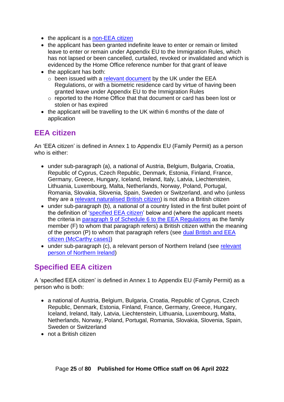- the applicant is a [non-EEA citizen](#page-27-0)
- the applicant has been granted indefinite leave to enter or remain or limited leave to enter or remain under Appendix EU to the Immigration Rules, which has not lapsed or been cancelled, curtailed, revoked or invalidated and which is evidenced by the Home Office reference number for that grant of leave
- the applicant has both:
	- $\circ$  been issued with a [relevant document](#page-45-0) by the UK under the EEA Regulations, or with a biometric residence card by virtue of having been granted leave under Appendix EU to the Immigration Rules
	- o reported to the Home Office that that document or card has been lost or stolen or has expired
- the applicant will be travelling to the UK within 6 months of the date of application

## <span id="page-24-0"></span>**EEA citizen**

An 'EEA citizen' is defined in Annex 1 to Appendix EU (Family Permit) as a person who is either:

- under sub-paragraph (a), a national of Austria, Belgium, Bulgaria, Croatia, Republic of Cyprus, Czech Republic, Denmark, Estonia, Finland, France, Germany, Greece, Hungary, Iceland, Ireland, Italy, Latvia, Liechtenstein, Lithuania, Luxembourg, Malta, Netherlands, Norway, Poland, Portugal, Romania, Slovakia, Slovenia, Spain, Sweden or Switzerland, and who (unless they are a [relevant naturalised British citizen\)](#page-31-0) is not also a British citizen
- under sub-paragraph (b), a national of a country listed in the first bullet point of the definition of ['specified EEA citizen'](#page-24-1) below and (where the applicant meets the criteria in [paragraph 9 of Schedule 6 to the EEA Regulations](https://www.legislation.gov.uk/uksi/2016/1052/schedule/6/paragraph/9) as the family member (F) to whom that paragraph refers) a British citizen within the meaning of the person (P) to whom that paragraph refers (see [dual British and EEA](#page-32-0)  [citizen \(McCarthy cases\)\)](#page-32-0)
- under sub-paragraph (c), a [relevant](#page-33-0) person of Northern Ireland (see relevant [person of Northern Ireland\)](#page-33-0)

# <span id="page-24-1"></span>**Specified EEA citizen**

A 'specified EEA citizen' is defined in Annex 1 to Appendix EU (Family Permit) as a person who is both:

- a national of Austria, Belgium, Bulgaria, Croatia, Republic of Cyprus, Czech Republic, Denmark, Estonia, Finland, France, Germany, Greece, Hungary, Iceland, Ireland, Italy, Latvia, Liechtenstein, Lithuania, Luxembourg, Malta, Netherlands, Norway, Poland, Portugal, Romania, Slovakia, Slovenia, Spain, Sweden or Switzerland
- not a British citizen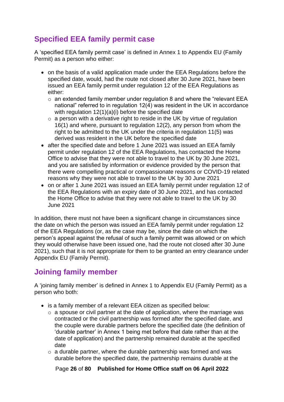# <span id="page-25-0"></span>**Specified EEA family permit case**

A 'specified EEA family permit case' is defined in Annex 1 to Appendix EU (Family Permit) as a person who either:

- on the basis of a valid application made under the EEA Regulations before the specified date, would, had the route not closed after 30 June 2021, have been issued an EEA family permit under regulation 12 of the EEA Regulations as either:
	- o an extended family member under regulation 8 and where the "relevant EEA national" referred to in regulation 12(4) was resident in the UK in accordance with regulation 12(1)(a)(i) before the specified date
	- $\circ$  a person with a derivative right to reside in the UK by virtue of regulation 16(1) and where, pursuant to regulation 12(2), any person from whom the right to be admitted to the UK under the criteria in regulation 11(5) was derived was resident in the UK before the specified date
- after the specified date and before 1 June 2021 was issued an EEA family permit under regulation 12 of the EEA Regulations, has contacted the Home Office to advise that they were not able to travel to the UK by 30 June 2021, and you are satisfied by information or evidence provided by the person that there were compelling practical or compassionate reasons or COVID-19 related reasons why they were not able to travel to the UK by 30 June 2021
- on or after 1 June 2021 was issued an EEA family permit under regulation 12 of the EEA Regulations with an expiry date of 30 June 2021, and has contacted the Home Office to advise that they were not able to travel to the UK by 30 June 2021

In addition, there must not have been a significant change in circumstances since the date on which the person was issued an EEA family permit under regulation 12 of the EEA Regulations (or, as the case may be, since the date on which the person's appeal against the refusal of such a family permit was allowed or on which they would otherwise have been issued one, had the route not closed after 30 June 2021), such that it is not appropriate for them to be granted an entry clearance under Appendix EU (Family Permit).

## <span id="page-25-1"></span>**Joining family member**

A 'joining family member' is defined in Annex 1 to Appendix EU (Family Permit) as a person who both:

- is a family member of a relevant EEA citizen as specified below:
	- $\circ$  a spouse or civil partner at the date of application, where the marriage was contracted or the civil partnership was formed after the specified date, and the couple were durable partners before the specified date (the definition of 'durable partner' in Annex 1 being met before that date rather than at the date of application) and the partnership remained durable at the specified date
	- $\circ$  a durable partner, where the durable partnership was formed and was durable before the specified date, the partnership remains durable at the

Page **26** of **80 Published for Home Office staff on 06 April 2022**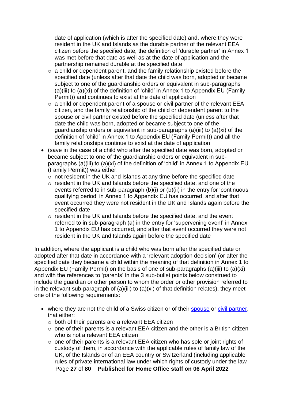date of application (which is after the specified date) and, where they were resident in the UK and Islands as the durable partner of the relevant EEA citizen before the specified date, the definition of 'durable partner' in Annex 1 was met before that date as well as at the date of application and the partnership remained durable at the specified date

- $\circ$  a child or dependent parent, and the family relationship existed before the specified date (unless after that date the child was born, adopted or became subject to one of the guardianship orders or equivalent in sub-paragraphs (a)(iii) to (a)(xi) of the definition of 'child' in Annex 1 to Appendix EU (Family Permit)) and continues to exist at the date of application
- $\circ$  a child or dependent parent of a spouse or civil partner of the relevant EEA citizen, and the family relationship of the child or dependent parent to the spouse or civil partner existed before the specified date (unless after that date the child was born, adopted or became subject to one of the guardianship orders or equivalent in sub-paragraphs (a)(iii) to (a)(xi) of the definition of 'child' in Annex 1 to Appendix EU (Family Permit)) and all the family relationships continue to exist at the date of application
- (save in the case of a child who after the specified date was born, adopted or became subject to one of the guardianship orders or equivalent in subparagraphs (a)(iii) to (a)(xi) of the definition of 'child' in Annex 1 to Appendix EU (Family Permit)) was either:
	- o not resident in the UK and Islands at any time before the specified date
	- o resident in the UK and Islands before the specified date, and one of the events referred to in sub-paragraph (b)(i) or (b)(ii) in the entry for 'continuous qualifying period' in Annex 1 to Appendix EU has occurred, and after that event occurred they were not resident in the UK and Islands again before the specified date
	- o resident in the UK and Islands before the specified date, and the event referred to in sub-paragraph (a) in the entry for 'supervening event' in Annex 1 to Appendix EU has occurred, and after that event occurred they were not resident in the UK and Islands again before the specified date

In addition, where the applicant is a child who was born after the specified date or adopted after that date in accordance with a 'relevant adoption decision' (or after the specified date they became a child within the meaning of that definition in Annex 1 to Appendix EU (Family Permit) on the basis of one of sub-paragraphs (a)(iii) to (a)(xi), and with the references to 'parents' in the 3 sub-bullet points below construed to include the guardian or other person to whom the order or other provision referred to in the relevant sub-paragraph of  $(a)(iii)$  to  $(a)(xi)$  of that definition relates), they meet one of the following requirements:

- where they are not the child of a Swiss citizen or of their [spouse](#page-54-1) or [civil partner,](#page-55-0) that either:
	- o both of their parents are a relevant EEA citizen
	- $\circ$  one of their parents is a relevant EEA citizen and the other is a British citizen who is not a relevant EEA citizen
	- Page **27** of **80 Published for Home Office staff on 06 April 2022** o one of their parents is a relevant EEA citizen who has sole or joint rights of custody of them, in accordance with the applicable rules of family law of the UK, of the Islands or of an EEA country or Switzerland (including applicable rules of private international law under which rights of custody under the law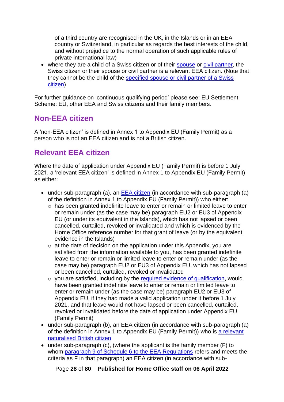of a third country are recognised in the UK, in the Islands or in an EEA country or Switzerland, in particular as regards the best interests of the child, and without prejudice to the normal operation of such applicable rules of private international law)

• where they are a child of a Swiss citizen or of their [spouse](#page-54-1) or [civil partner,](#page-55-0) the Swiss citizen or their spouse or civil partner is a relevant EEA citizen. (Note that they cannot be the child of the [specified spouse or civil partner of a Swiss](#page-56-0)  [citizen\)](#page-56-0)

For further guidance on 'continuous qualifying period' please see: EU Settlement Scheme: EU, other EEA and Swiss citizens and their family members.

## <span id="page-27-0"></span>**Non-EEA citizen**

A 'non-EEA citizen' is defined in Annex 1 to Appendix EU (Family Permit) as a person who is not an EEA citizen and is not a British citizen.

## <span id="page-27-1"></span>**Relevant EEA citizen**

Where the date of application under Appendix EU (Family Permit) is before 1 July 2021, a 'relevant EEA citizen' is defined in Annex 1 to Appendix EU (Family Permit) as either:

- under sub-paragraph (a), an [EEA citizen](#page-24-0) (in accordance with sub-paragraph (a) of the definition in Annex 1 to Appendix EU (Family Permit)) who either:
	- o has been granted indefinite leave to enter or remain or limited leave to enter or remain under (as the case may be) paragraph EU2 or EU3 of Appendix EU (or under its equivalent in the Islands), which has not lapsed or been cancelled, curtailed, revoked or invalidated and which is evidenced by the Home Office reference number for that grant of leave (or by the equivalent evidence in the Islands)
	- $\circ$  at the date of decision on the application under this Appendix, you are satisfied from the information available to you, has been granted indefinite leave to enter or remain or limited leave to enter or remain under (as the case may be) paragraph EU2 or EU3 of Appendix EU, which has not lapsed or been cancelled, curtailed, revoked or invalidated
	- $\circ$  you are satisfied, including by the [required evidence of qualification,](#page-35-1) would have been granted indefinite leave to enter or remain or limited leave to enter or remain under (as the case may be) paragraph EU2 or EU3 of Appendix EU, if they had made a valid application under it before 1 July 2021, and that leave would not have lapsed or been cancelled, curtailed, revoked or invalidated before the date of application under Appendix EU (Family Permit)
- under sub-paragraph (b), an EEA citizen (in accordance with sub-paragraph (a) of the definition in Annex 1 to Appendix EU (Family Permit)) who is [a relevant](#page-31-0)  [naturalised British citizen](#page-31-0)
- under sub-paragraph (c), (where the applicant is the family member (F) to whom [paragraph 9 of Schedule 6 to the EEA Regulations](https://www.legislation.gov.uk/uksi/2016/1052/schedule/6/paragraph/9) refers and meets the criteria as F in that paragraph) an EEA citizen (in accordance with sub-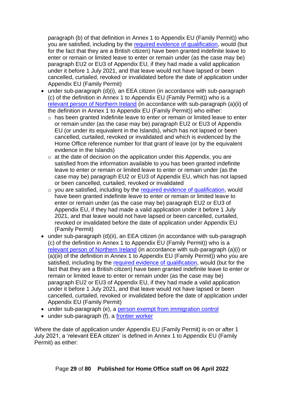paragraph (b) of that definition in Annex 1 to Appendix EU (Family Permit)) who you are satisfied, including by the [required evidence of qualification,](#page-35-1) would (but for the fact that they are a British citizen) have been granted indefinite leave to enter or remain or limited leave to enter or remain under (as the case may be) paragraph EU2 or EU3 of Appendix EU, if they had made a valid application under it before 1 July 2021, and that leave would not have lapsed or been cancelled, curtailed, revoked or invalidated before the date of application under Appendix EU (Family Permit)

- under sub-paragraph (d)(i), an EEA citizen (in accordance with sub-paragraph (c) of the definition in Annex 1 to Appendix EU (Family Permit)) who is a [relevant person of Northern Ireland](#page-33-0) (in accordance with sub-paragraph (a)(ii) of the definition in Annex 1 to Appendix EU (Family Permit)) who either:
	- o has been granted indefinite leave to enter or remain or limited leave to enter or remain under (as the case may be) paragraph EU2 or EU3 of Appendix EU (or under its equivalent in the Islands), which has not lapsed or been cancelled, curtailed, revoked or invalidated and which is evidenced by the Home Office reference number for that grant of leave (or by the equivalent evidence in the Islands)
	- $\circ$  at the date of decision on the application under this Appendix, you are satisfied from the information available to you has been granted indefinite leave to enter or remain or limited leave to enter or remain under (as the case may be) paragraph EU2 or EU3 of Appendix EU, which has not lapsed or been cancelled, curtailed, revoked or invalidated
	- $\circ$  you are satisfied, including by the [required evidence of qualification,](#page-35-1) would have been granted indefinite leave to enter or remain or limited leave to enter or remain under (as the case may be) paragraph EU2 or EU3 of Appendix EU, if they had made a valid application under it before 1 July 2021, and that leave would not have lapsed or been cancelled, curtailed, revoked or invalidated before the date of application under Appendix EU (Family Permit)
- under sub-paragraph (d)(ii), an EEA citizen (in accordance with sub-paragraph (c) of the definition in Annex 1 to Appendix EU (Family Permit)) who is a relevant person [of Northern Ireland](#page-33-0) (in accordance with sub-paragraph (a)(i) or (a)(iii) of the definition in Annex 1 to Appendix EU (Family Permit)) who you are satisfied, including by the [required evidence of qualification,](#page-35-1) would (but for the fact that they are a British citizen) have been granted indefinite leave to enter or remain or limited leave to enter or remain under (as the case may be) paragraph EU2 or EU3 of Appendix EU, if they had made a valid application under it before 1 July 2021, and that leave would not have lapsed or been cancelled, curtailed, revoked or invalidated before the date of application under Appendix EU (Family Permit)
- under sub-paragraph (e), a [person exempt from](#page-34-0) immigration control
- under sub-paragraph (f), a [frontier worker](#page-35-0)

Where the date of application under Appendix EU (Family Permit) is on or after 1 July 2021, a 'relevant EEA citizen' is defined in Annex 1 to Appendix EU (Family Permit) as either: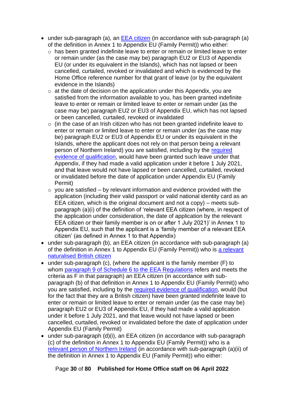- under sub-paragraph (a), an [EEA citizen](#page-24-0) (in accordance with sub-paragraph (a) of the definition in Annex 1 to Appendix EU (Family Permit)) who either:
	- o has been granted indefinite leave to enter or remain or limited leave to enter or remain under (as the case may be) paragraph EU2 or EU3 of Appendix EU (or under its equivalent in the Islands), which has not lapsed or been cancelled, curtailed, revoked or invalidated and which is evidenced by the Home Office reference number for that grant of leave (or by the equivalent evidence in the Islands)
	- $\circ$  at the date of decision on the application under this Appendix, you are satisfied from the information available to you, has been granted indefinite leave to enter or remain or limited leave to enter or remain under (as the case may be) paragraph EU2 or EU3 of Appendix EU, which has not lapsed or been cancelled, curtailed, revoked or invalidated
	- $\circ$  (in the case of an Irish citizen who has not been granted indefinite leave to enter or remain or limited leave to enter or remain under (as the case may be) paragraph EU2 or EU3 of Appendix EU or under its equivalent in the Islands, where the applicant does not rely on that person being a relevant person of Northern Ireland) you are satisfied, including by the [required](#page-35-1)  [evidence of qualification,](#page-35-1) would have been granted such leave under that Appendix, if they had made a valid application under it before 1 July 2021, and that leave would not have lapsed or been cancelled, curtailed, revoked or invalidated before the date of application under Appendix EU (Family Permit)
	- $\circ$  you are satisfied by relevant information and evidence provided with the application (including their valid passport or valid national identity card as an EEA citizen, which is the original document and not a copy) – meets subparagraph (a)(i) of the definition of 'relevant EEA citizen (where, in respect of the application under consideration, the date of application by the relevant EEA citizen or their family member is on or after 1 July 2021)' in Annex 1 to Appendix EU, such that the applicant is a 'family member of a relevant EEA citizen' (as defined in Annex 1 to that Appendix)
- under sub-paragraph (b), an EEA citizen (in accordance with sub-paragraph (a) of the definition in Annex 1 to Appendix EU (Family Permit)) who is [a relevant](#page-31-0)  [naturalised British citizen](#page-31-0)
- under sub-paragraph (c), (where the applicant is the family member (F) to whom [paragraph 9 of Schedule 6 to the EEA Regulations](https://www.legislation.gov.uk/uksi/2016/1052/schedule/6/paragraph/9) refers and meets the criteria as F in that paragraph) an EEA citizen (in accordance with subparagraph (b) of that definition in Annex 1 to Appendix EU (Family Permit)) who you are satisfied, including by the [required evidence of qualification,](#page-35-1) would (but for the fact that they are a British citizen) have been granted indefinite leave to enter or remain or limited leave to enter or remain under (as the case may be) paragraph EU2 or EU3 of Appendix EU, if they had made a valid application under it before 1 July 2021, and that leave would not have lapsed or been cancelled, curtailed, revoked or invalidated before the date of application under Appendix EU (Family Permit)
- under sub-paragraph (d)(i), an EEA citizen (in accordance with sub-paragraph (c) of the definition in Annex 1 to Appendix EU (Family Permit)) who is a [relevant person of Northern Ireland](#page-33-0) (in accordance with sub-paragraph (a)(ii) of the definition in Annex 1 to Appendix EU (Family Permit)) who either:

Page **30** of **80 Published for Home Office staff on 06 April 2022**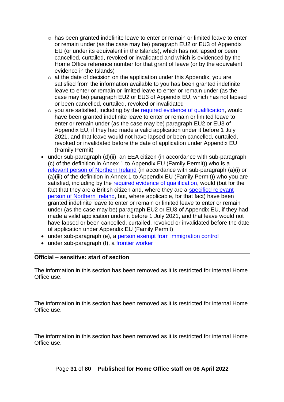- o has been granted indefinite leave to enter or remain or limited leave to enter or remain under (as the case may be) paragraph EU2 or EU3 of Appendix EU (or under its equivalent in the Islands), which has not lapsed or been cancelled, curtailed, revoked or invalidated and which is evidenced by the Home Office reference number for that grant of leave (or by the equivalent evidence in the Islands)
- $\circ$  at the date of decision on the application under this Appendix, you are satisfied from the information available to you has been granted indefinite leave to enter or remain or limited leave to enter or remain under (as the case may be) paragraph EU2 or EU3 of Appendix EU, which has not lapsed or been cancelled, curtailed, revoked or invalidated
- $\circ$  you are satisfied, including by the [required evidence of qualification,](#page-35-1) would have been granted indefinite leave to enter or remain or limited leave to enter or remain under (as the case may be) paragraph EU2 or EU3 of Appendix EU, if they had made a valid application under it before 1 July 2021, and that leave would not have lapsed or been cancelled, curtailed, revoked or invalidated before the date of application under Appendix EU (Family Permit)
- under sub-paragraph (d)(ii), an EEA citizen (in accordance with sub-paragraph (c) of the definition in Annex 1 to Appendix EU (Family Permit)) who is a [relevant person of Northern Ireland](#page-33-0) (in accordance with sub-paragraph (a)(i) or (a)(iii) of the definition in Annex 1 to Appendix EU (Family Permit)) who you are satisfied, including by the [required evidence of qualification,](#page-35-1) would (but for the fact that they are a British citizen and, where they are a [specified relevant](#page-42-0)  [person of Northern](#page-42-0) Ireland, but, where applicable, for that fact) have been granted indefinite leave to enter or remain or limited leave to enter or remain under (as the case may be) paragraph EU2 or EU3 of Appendix EU, if they had made a valid application under it before 1 July 2021, and that leave would not have lapsed or been cancelled, curtailed, revoked or invalidated before the date of application under Appendix EU (Family Permit)
- under sub-paragraph (e), a [person exempt from immigration control](#page-34-0)
- under sub-paragraph (f), a [frontier worker](#page-35-0)

#### **Official – sensitive: start of section**

The information in this section has been removed as it is restricted for internal Home Office use.

The information in this section has been removed as it is restricted for internal Home Office use.

The information in this section has been removed as it is restricted for internal Home Office use.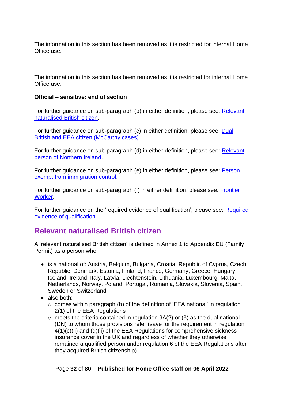The information in this section has been removed as it is restricted for internal Home Office use.

The information in this section has been removed as it is restricted for internal Home Office use.

#### **Official – sensitive: end of section**

For further guidance on sub-paragraph (b) in either definition, please see: [Relevant](#page-31-0)  naturalised [British citizen.](#page-31-0)

For further guidance on sub-paragraph (c) in either definition, please see: [Dual](#page-32-0)  [British and EEA citizen \(McCarthy cases\).](#page-32-0)

For further guidance on sub-paragraph (d) in either definition, please see: [Relevant](#page-33-0) person [of Northern Ireland.](#page-33-0)

For further guidance on sub-paragraph (e) in either definition, please see: [Person](#page-34-0)  [exempt from immigration control.](#page-34-0)

For further guidance on sub-paragraph (f) in either definition, please see: [Frontier](#page-35-0)  [Worker.](#page-35-0)

For further guidance on the 'required evidence of qualification', please see: [Required](#page-35-1)  [evidence of qualification.](#page-35-1)

## <span id="page-31-0"></span>**Relevant naturalised British citizen**

A 'relevant naturalised British citizen' is defined in Annex 1 to Appendix EU (Family Permit) as a person who:

- is a national of: Austria, Belgium, Bulgaria, Croatia, Republic of Cyprus, Czech Republic, Denmark, Estonia, Finland, France, Germany, Greece, Hungary, Iceland, Ireland, Italy, Latvia, Liechtenstein, Lithuania, Luxembourg, Malta, Netherlands, Norway, Poland, Portugal, Romania, Slovakia, Slovenia, Spain, Sweden or Switzerland
- also both:
	- o comes within paragraph (b) of the definition of 'EEA national' in regulation 2(1) of the EEA Regulations
	- $\circ$  meets the criteria contained in regulation 9A(2) or (3) as the dual national (DN) to whom those provisions refer (save for the requirement in regulation 4(1)(c)(ii) and (d)(ii) of the EEA Regulations for comprehensive sickness insurance cover in the UK and regardless of whether they otherwise remained a qualified person under regulation 6 of the EEA Regulations after they acquired British citizenship)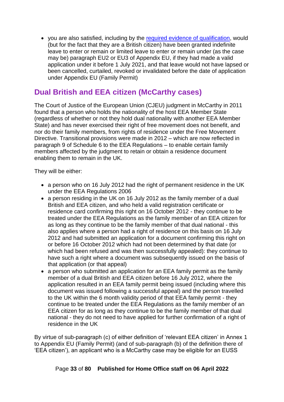• you are also satisfied, including by the [required evidence of qualification,](#page-35-1) would (but for the fact that they are a British citizen) have been granted indefinite leave to enter or remain or limited leave to enter or remain under (as the case may be) paragraph EU2 or EU3 of Appendix EU, if they had made a valid application under it before 1 July 2021, and that leave would not have lapsed or been cancelled, curtailed, revoked or invalidated before the date of application under Appendix EU (Family Permit)

## <span id="page-32-0"></span>**Dual British and EEA citizen (McCarthy cases)**

The Court of Justice of the European Union (CJEU) judgment in McCarthy in 2011 found that a person who holds the nationality of the host EEA Member State (regardless of whether or not they hold dual nationality with another EEA Member State) and has never exercised their right of free movement does not benefit, and nor do their family members, from rights of residence under the Free Movement Directive. Transitional provisions were made in 2012 – which are now reflected in paragraph 9 of Schedule 6 to the EEA Regulations – to enable certain family members affected by the judgment to retain or obtain a residence document enabling them to remain in the UK.

They will be either:

- a person who on 16 July 2012 had the right of permanent residence in the UK under the EEA Regulations 2006
- a person residing in the UK on 16 July 2012 as the family member of a dual British and EEA citizen, and who held a valid registration certificate or residence card confirming this right on 16 October 2012 - they continue to be treated under the EEA Regulations as the family member of an EEA citizen for as long as they continue to be the family member of that dual national - this also applies where a person had a right of residence on this basis on 16 July 2012 and had submitted an application for a document confirming this right on or before 16 October 2012 which had not been determined by that date (or which had been refused and was then successfully appealed): they continue to have such a right where a document was subsequently issued on the basis of that application (or that appeal)
- a person who submitted an application for an EEA family permit as the family member of a dual British and EEA citizen before 16 July 2012, where the application resulted in an EEA family permit being issued (including where this document was issued following a successful appeal) and the person travelled to the UK within the 6 month validity period of that EEA family permit - they continue to be treated under the EEA Regulations as the family member of an EEA citizen for as long as they continue to be the family member of that dual national - they do not need to have applied for further confirmation of a right of residence in the UK

By virtue of sub-paragraph (c) of either definition of 'relevant EEA citizen' in Annex 1 to Appendix EU (Family Permit) (and of sub-paragraph (b) of the definition there of 'EEA citizen'), an applicant who is a McCarthy case may be eligible for an EUSS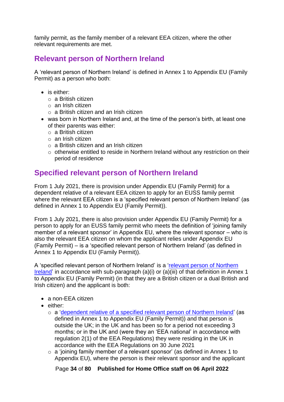family permit, as the family member of a relevant EEA citizen, where the other relevant requirements are met.

## <span id="page-33-0"></span>**Relevant person of Northern Ireland**

A 'relevant person of Northern Ireland' is defined in Annex 1 to Appendix EU (Family Permit) as a person who both:

- is either:
	- o a British citizen
	- o an Irish citizen
	- o a British citizen and an Irish citizen
- was born in Northern Ireland and, at the time of the person's birth, at least one of their parents was either:
	- o a British citizen
	- o an Irish citizen
	- o a British citizen and an Irish citizen
	- o otherwise entitled to reside in Northern Ireland without any restriction on their period of residence

## <span id="page-33-1"></span>**Specified relevant person of Northern Ireland**

From 1 July 2021, there is provision under Appendix EU (Family Permit) for a dependent relative of a relevant EEA citizen to apply for an EUSS family permit where the relevant EEA citizen is a 'specified relevant person of Northern Ireland' (as defined in Annex 1 to Appendix EU (Family Permit)).

From 1 July 2021, there is also provision under Appendix EU (Family Permit) for a person to apply for an EUSS family permit who meets the definition of 'joining family member of a relevant sponsor' in Appendix EU, where the relevant sponsor – who is also the relevant EEA citizen on whom the applicant relies under Appendix EU (Family Permit) – is a 'specified relevant person of Northern Ireland' (as defined in Annex 1 to Appendix EU (Family Permit)).

A 'specified relevant person of Northern Ireland' is a ['relevant person of Northern](#page-33-0)  [Ireland'](#page-33-0) in accordance with sub-paragraph (a)(i) or (a)(iii) of that definition in Annex 1 to Appendix EU (Family Permit) (in that they are a British citizen or a dual British and Irish citizen) and the applicant is both:

- a non-EEA citizen
- either:
	- $\circ$  a ['dependent relative of a specified relevant person of Northern Ireland'](#page-67-1) (as defined in Annex 1 to Appendix EU (Family Permit)) and that person is outside the UK; in the UK and has been so for a period not exceeding 3 months; or in the UK and (were they an 'EEA national' in accordance with regulation 2(1) of the EEA Regulations) they were residing in the UK in accordance with the EEA Regulations on 30 June 2021
	- o a 'joining family member of a relevant sponsor' (as defined in Annex 1 to Appendix EU), where the person is their relevant sponsor and the applicant

Page **34** of **80 Published for Home Office staff on 06 April 2022**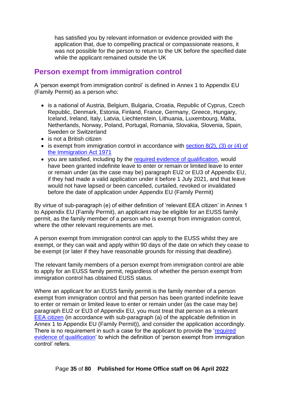has satisfied you by relevant information or evidence provided with the application that, due to compelling practical or compassionate reasons, it was not possible for the person to return to the UK before the specified date while the applicant remained outside the UK

## <span id="page-34-0"></span>**Person exempt from immigration control**

A 'person exempt from immigration control' is defined in Annex 1 to Appendix EU (Family Permit) as a person who:

- is a national of Austria, Belgium, Bulgaria, Croatia, Republic of Cyprus, Czech Republic, Denmark, Estonia, Finland, France, Germany, Greece, Hungary, Iceland, Ireland, Italy, Latvia, Liechtenstein, Lithuania, Luxembourg, Malta, Netherlands, Norway, Poland, Portugal, Romania, Slovakia, Slovenia, Spain, Sweden or Switzerland
- is not a British citizen
- is exempt from immigration control in accordance with section 8(2), (3) or (4) of [the Immigration Act 1971](https://www.legislation.gov.uk/ukpga/1971/77/section/8/enacted)
- you are satisfied, including by the [required evidence of qualification,](#page-35-1) would have been granted indefinite leave to enter or remain or limited leave to enter or remain under (as the case may be) paragraph EU2 or EU3 of Appendix EU, if they had made a valid application under it before 1 July 2021, and that leave would not have lapsed or been cancelled, curtailed, revoked or invalidated before the date of application under Appendix EU (Family Permit)

By virtue of sub-paragraph (e) of either definition of 'relevant EEA citizen' in Annex 1 to Appendix EU (Family Permit), an applicant may be eligible for an EUSS family permit, as the family member of a person who is exempt from immigration control, where the other relevant requirements are met.

A person exempt from immigration control can apply to the EUSS whilst they are exempt, or they can wait and apply within 90 days of the date on which they cease to be exempt (or later if they have reasonable grounds for missing that deadline).

The relevant family members of a person exempt from immigration control are able to apply for an EUSS family permit, regardless of whether the person exempt from immigration control has obtained EUSS status.

Where an applicant for an EUSS family permit is the family member of a person exempt from immigration control and that person has been granted indefinite leave to enter or remain or limited leave to enter or remain under (as the case may be) paragraph EU2 or EU3 of Appendix EU, you must treat that person as a relevant [EEA citizen](#page-24-0) (in accordance with sub-paragraph (a) of the applicable definition in Annex 1 to Appendix EU (Family Permit)), and consider the application accordingly. There is no requirement in such a case for the applicant to provide the ['required](#page-35-1)  [evidence of qualification'](#page-35-1) to which the definition of 'person exempt from immigration control' refers.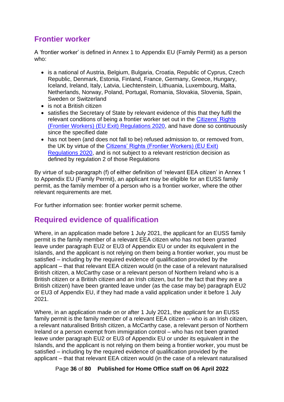## <span id="page-35-0"></span>**Frontier worker**

A 'frontier worker' is defined in Annex 1 to Appendix EU (Family Permit) as a person who:

- is a national of Austria, Belgium, Bulgaria, Croatia, Republic of Cyprus, Czech Republic, Denmark, Estonia, Finland, France, Germany, Greece, Hungary, Iceland, Ireland, Italy, Latvia, Liechtenstein, Lithuania, Luxembourg, Malta, Netherlands, Norway, Poland, Portugal, Romania, Slovakia, Slovenia, Spain, Sweden or Switzerland
- is not a British citizen
- satisfies the Secretary of State by relevant evidence of this that they fulfil the relevant conditions of being a frontier worker set out in the [Citizens' Rights](https://www.legislation.gov.uk/ukdsi/2020/9780348212228/contents)  [\(Frontier Workers\) \(EU Exit\) Regulations 2020,](https://www.legislation.gov.uk/ukdsi/2020/9780348212228/contents) and have done so continuously since the specified date
- has not been (and does not fall to be) refused admission to, or removed from, the UK by virtue of the [Citizens' Rights \(Frontier Workers\) \(EU Exit\)](https://www.legislation.gov.uk/ukdsi/2020/9780348212228/contents)  [Regulations 2020,](https://www.legislation.gov.uk/ukdsi/2020/9780348212228/contents) and is not subject to a relevant restriction decision as defined by regulation 2 of those Regulations

By virtue of sub-paragraph (f) of either definition of 'relevant EEA citizen' in Annex 1 to Appendix EU (Family Permit), an applicant may be eligible for an EUSS family permit, as the family member of a person who is a frontier worker, where the other relevant requirements are met.

For further information see: frontier worker permit scheme.

## <span id="page-35-1"></span>**Required evidence of qualification**

Where, in an application made before 1 July 2021, the applicant for an EUSS family permit is the family member of a relevant EEA citizen who has not been granted leave under paragraph EU2 or EU3 of Appendix EU or under its equivalent in the Islands, and the applicant is not relying on them being a frontier worker, you must be satisfied – including by the required evidence of qualification provided by the applicant – that that relevant EEA citizen would (in the case of a relevant naturalised British citizen, a McCarthy case or a relevant person of Northern Ireland who is a British citizen or a British citizen and an Irish citizen, but for the fact that they are a British citizen) have been granted leave under (as the case may be) paragraph EU2 or EU3 of Appendix EU, if they had made a valid application under it before 1 July 2021.

Where, in an application made on or after 1 July 2021, the applicant for an EUSS family permit is the family member of a relevant EEA citizen – who is an Irish citizen, a relevant naturalised British citizen, a McCarthy case, a relevant person of Northern Ireland or a person exempt from immigration control – who has not been granted leave under paragraph EU2 or EU3 of Appendix EU or under its equivalent in the Islands, and the applicant is not relying on them being a frontier worker, you must be satisfied – including by the required evidence of qualification provided by the applicant – that that relevant EEA citizen would (in the case of a relevant naturalised

Page **36** of **80 Published for Home Office staff on 06 April 2022**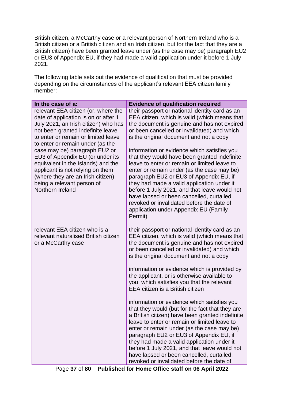British citizen, a McCarthy case or a relevant person of Northern Ireland who is a British citizen or a British citizen and an Irish citizen, but for the fact that they are a British citizen) have been granted leave under (as the case may be) paragraph EU2 or EU3 of Appendix EU, if they had made a valid application under it before 1 July 2021.

The following table sets out the evidence of qualification that must be provided depending on the circumstances of the applicant's relevant EEA citizen family member:

| In the case of a:                                                                                                                                                                                                                                                                                                                                                                                                                                                         | <b>Evidence of qualification required</b>                                                                                                                                                                                                                                                                                                                                                                                                                                                                                                                                                                                                                                                                                                                                                                                                                                                                       |
|---------------------------------------------------------------------------------------------------------------------------------------------------------------------------------------------------------------------------------------------------------------------------------------------------------------------------------------------------------------------------------------------------------------------------------------------------------------------------|-----------------------------------------------------------------------------------------------------------------------------------------------------------------------------------------------------------------------------------------------------------------------------------------------------------------------------------------------------------------------------------------------------------------------------------------------------------------------------------------------------------------------------------------------------------------------------------------------------------------------------------------------------------------------------------------------------------------------------------------------------------------------------------------------------------------------------------------------------------------------------------------------------------------|
| relevant EEA citizen (or, where the<br>date of application is on or after 1<br>July 2021, an Irish citizen) who has<br>not been granted indefinite leave<br>to enter or remain or limited leave<br>to enter or remain under (as the<br>case may be) paragraph EU2 or<br>EU3 of Appendix EU (or under its<br>equivalent in the Islands) and the<br>applicant is not relying on them<br>(where they are an Irish citizen)<br>being a relevant person of<br>Northern Ireland | their passport or national identity card as an<br>EEA citizen, which is valid (which means that<br>the document is genuine and has not expired<br>or been cancelled or invalidated) and which<br>is the original document and not a copy<br>information or evidence which satisfies you<br>that they would have been granted indefinite<br>leave to enter or remain or limited leave to<br>enter or remain under (as the case may be)<br>paragraph EU2 or EU3 of Appendix EU, if<br>they had made a valid application under it<br>before 1 July 2021, and that leave would not<br>have lapsed or been cancelled, curtailed,<br>revoked or invalidated before the date of<br>application under Appendix EU (Family<br>Permit)                                                                                                                                                                                    |
| relevant EEA citizen who is a<br>relevant naturalised British citizen<br>or a McCarthy case                                                                                                                                                                                                                                                                                                                                                                               | their passport or national identity card as an<br>EEA citizen, which is valid (which means that<br>the document is genuine and has not expired<br>or been cancelled or invalidated) and which<br>is the original document and not a copy<br>information or evidence which is provided by<br>the applicant, or is otherwise available to<br>you, which satisfies you that the relevant<br>EEA citizen is a British citizen<br>information or evidence which satisfies you<br>that they would (but for the fact that they are<br>a British citizen) have been granted indefinite<br>leave to enter or remain or limited leave to<br>enter or remain under (as the case may be)<br>paragraph EU2 or EU3 of Appendix EU, if<br>they had made a valid application under it<br>before 1 July 2021, and that leave would not<br>have lapsed or been cancelled, curtailed,<br>revoked or invalidated before the date of |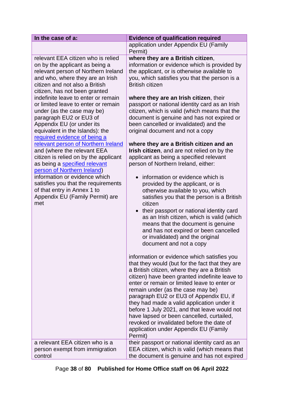| In the case of a:                                                                                                                                                                                                                                                                                                                                                                                                                                                                                                                                                                                                                                                                                                                                                                         | <b>Evidence of qualification required</b>                                                                                                                                                                                                                                                                                                                                                                                                                                                                                                                                                                                                                                                                                                                                                                                                                                                                                                                                                                                                                                                                |
|-------------------------------------------------------------------------------------------------------------------------------------------------------------------------------------------------------------------------------------------------------------------------------------------------------------------------------------------------------------------------------------------------------------------------------------------------------------------------------------------------------------------------------------------------------------------------------------------------------------------------------------------------------------------------------------------------------------------------------------------------------------------------------------------|----------------------------------------------------------------------------------------------------------------------------------------------------------------------------------------------------------------------------------------------------------------------------------------------------------------------------------------------------------------------------------------------------------------------------------------------------------------------------------------------------------------------------------------------------------------------------------------------------------------------------------------------------------------------------------------------------------------------------------------------------------------------------------------------------------------------------------------------------------------------------------------------------------------------------------------------------------------------------------------------------------------------------------------------------------------------------------------------------------|
|                                                                                                                                                                                                                                                                                                                                                                                                                                                                                                                                                                                                                                                                                                                                                                                           | application under Appendix EU (Family<br>Permit)                                                                                                                                                                                                                                                                                                                                                                                                                                                                                                                                                                                                                                                                                                                                                                                                                                                                                                                                                                                                                                                         |
| relevant EEA citizen who is relied<br>on by the applicant as being a<br>relevant person of Northern Ireland<br>and who, where they are an Irish<br>citizen and not also a British<br>citizen, has not been granted<br>indefinite leave to enter or remain<br>or limited leave to enter or remain<br>under (as the case may be)<br>paragraph EU2 or EU3 of<br>Appendix EU (or under its<br>equivalent in the Islands): the<br>required evidence of being a<br>relevant person of Northern Ireland<br>and (where the relevant EEA<br>citizen is relied on by the applicant<br>as being a specified relevant<br>person of Northern Ireland)<br>information or evidence which<br>satisfies you that the requirements<br>of that entry in Annex 1 to<br>Appendix EU (Family Permit) are<br>met | where they are a British citizen,<br>information or evidence which is provided by<br>the applicant, or is otherwise available to<br>you, which satisfies you that the person is a<br><b>British citizen</b><br>where they are an Irish citizen, their<br>passport or national identity card as an Irish<br>citizen, which is valid (which means that the<br>document is genuine and has not expired or<br>been cancelled or invalidated) and the<br>original document and not a copy<br>where they are a British citizen and an<br>Irish citizen, and are not relied on by the<br>applicant as being a specified relevant<br>person of Northern Ireland, either:<br>information or evidence which is<br>$\bullet$<br>provided by the applicant, or is<br>otherwise available to you, which<br>satisfies you that the person is a British<br>citizen<br>their passport or national identity card<br>$\bullet$<br>as an Irish citizen, which is valid (which<br>means that the document is genuine<br>and has not expired or been cancelled<br>or invalidated) and the original<br>document and not a copy |
|                                                                                                                                                                                                                                                                                                                                                                                                                                                                                                                                                                                                                                                                                                                                                                                           | information or evidence which satisfies you<br>that they would (but for the fact that they are<br>a British citizen, where they are a British<br>citizen) have been granted indefinite leave to<br>enter or remain or limited leave to enter or<br>remain under (as the case may be)<br>paragraph EU2 or EU3 of Appendix EU, if<br>they had made a valid application under it<br>before 1 July 2021, and that leave would not<br>have lapsed or been cancelled, curtailed,<br>revoked or invalidated before the date of<br>application under Appendix EU (Family<br>Permit)                                                                                                                                                                                                                                                                                                                                                                                                                                                                                                                              |
| a relevant EEA citizen who is a<br>person exempt from immigration<br>control                                                                                                                                                                                                                                                                                                                                                                                                                                                                                                                                                                                                                                                                                                              | their passport or national identity card as an<br>EEA citizen, which is valid (which means that<br>the document is genuine and has not expired                                                                                                                                                                                                                                                                                                                                                                                                                                                                                                                                                                                                                                                                                                                                                                                                                                                                                                                                                           |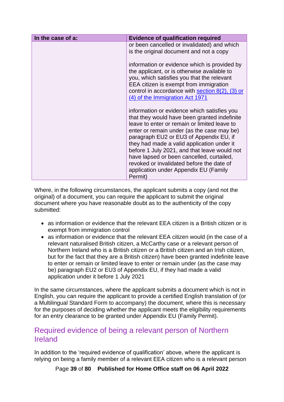| In the case of a: | <b>Evidence of qualification required</b>                                                                                                                                                                                                                                                                                                                                                                                                                                        |
|-------------------|----------------------------------------------------------------------------------------------------------------------------------------------------------------------------------------------------------------------------------------------------------------------------------------------------------------------------------------------------------------------------------------------------------------------------------------------------------------------------------|
|                   | or been cancelled or invalidated) and which<br>is the original document and not a copy                                                                                                                                                                                                                                                                                                                                                                                           |
|                   | information or evidence which is provided by<br>the applicant, or is otherwise available to<br>you, which satisfies you that the relevant<br>EEA citizen is exempt from immigration<br>control in accordance with section $8(2)$ , $(3)$ or<br>(4) of the Immigration Act 1971                                                                                                                                                                                                   |
|                   | information or evidence which satisfies you<br>that they would have been granted indefinite<br>leave to enter or remain or limited leave to<br>enter or remain under (as the case may be)<br>paragraph EU2 or EU3 of Appendix EU, if<br>they had made a valid application under it<br>before 1 July 2021, and that leave would not<br>have lapsed or been cancelled, curtailed,<br>revoked or invalidated before the date of<br>application under Appendix EU (Family<br>Permit) |

Where, in the following circumstances, the applicant submits a copy (and not the original) of a document, you can require the applicant to submit the original document where you have reasonable doubt as to the authenticity of the copy submitted:

- as information or evidence that the relevant EEA citizen is a British citizen or is exempt from immigration control
- as information or evidence that the relevant EEA citizen would (in the case of a relevant naturalised British citizen, a McCarthy case or a relevant person of Northern Ireland who is a British citizen or a British citizen and an Irish citizen, but for the fact that they are a British citizen) have been granted indefinite leave to enter or remain or limited leave to enter or remain under (as the case may be) paragraph EU2 or EU3 of Appendix EU, if they had made a valid application under it before 1 July 2021

In the same circumstances, where the applicant submits a document which is not in English, you can require the applicant to provide a certified English translation of (or a Multilingual Standard Form to accompany) the document, where this is necessary for the purposes of deciding whether the applicant meets the eligibility requirements for an entry clearance to be granted under Appendix EU (Family Permit).

## <span id="page-38-0"></span>Required evidence of being a relevant person of Northern Ireland

In addition to the 'required evidence of qualification' above, where the applicant is relying on being a family member of a relevant EEA citizen who is a relevant person

Page **39** of **80 Published for Home Office staff on 06 April 2022**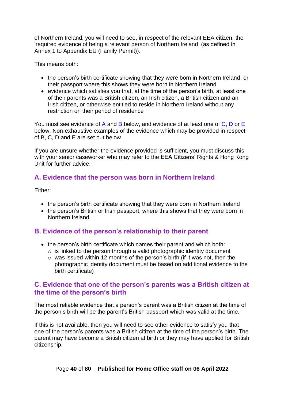of Northern Ireland, you will need to see, in respect of the relevant EEA citizen, the 'required evidence of being a relevant person of Northern Ireland' (as defined in Annex 1 to Appendix EU (Family Permit)).

This means both:

- the person's birth certificate showing that they were born in Northern Ireland, or their passport where this shows they were born in Northern Ireland
- evidence which satisfies you that, at the time of the person's birth, at least one of their parents was a British citizen, an Irish citizen, a British citizen and an Irish citizen, or otherwise entitled to reside in Northern Ireland without any restriction on their period of residence

You must see evidence of [A](#page-39-0) and [B](#page-39-1) below, and evidence of at least one of  $C$ , [D](#page-40-0) or [E](#page-41-0) below. Non-exhaustive examples of the evidence which may be provided in respect of B, C, D and E are set out below.

If you are unsure whether the evidence provided is sufficient, you must discuss this with your senior caseworker who may refer to the EEA Citizens' Rights & Hong Kong Unit for further advice.

#### <span id="page-39-0"></span>**A. Evidence that the person was born in Northern Ireland**

Either:

- the person's birth certificate showing that they were born in Northern Ireland
- the person's British or Irish passport, where this shows that they were born in Northern Ireland

#### <span id="page-39-1"></span>**B. Evidence of the person's relationship to their parent**

- the person's birth certificate which names their parent and which both:
	- $\circ$  is linked to the person through a valid photographic identity document
	- o was issued within 12 months of the person's birth (if it was not, then the photographic identity document must be based on additional evidence to the birth certificate)

#### <span id="page-39-2"></span>**C. Evidence that one of the person's parents was a British citizen at the time of the person's birth**

The most reliable evidence that a person's parent was a British citizen at the time of the person's birth will be the parent's British passport which was valid at the time.

If this is not available, then you will need to see other evidence to satisfy you that one of the person's parents was a British citizen at the time of the person's birth. The parent may have become a British citizen at birth or they may have applied for British citizenship.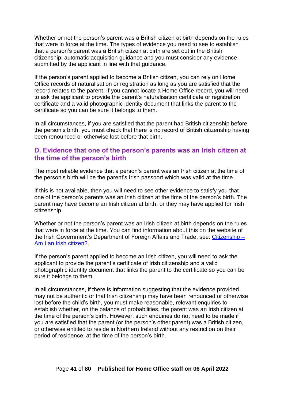Whether or not the person's parent was a British citizen at birth depends on the rules that were in force at the time. The types of evidence you need to see to establish that a person's parent was a British citizen at birth are set out in the British citizenship: automatic acquisition guidance and you must consider any evidence submitted by the applicant in line with that guidance.

If the person's parent applied to become a British citizen, you can rely on Home Office records of naturalisation or registration as long as you are satisfied that the record relates to the parent. If you cannot locate a Home Office record, you will need to ask the applicant to provide the parent's naturalisation certificate or registration certificate and a valid photographic identity document that links the parent to the certificate so you can be sure it belongs to them.

In all circumstances, if you are satisfied that the parent had British citizenship before the person's birth, you must check that there is no record of British citizenship having been renounced or otherwise lost before that birth.

#### <span id="page-40-0"></span>**D. Evidence that one of the person's parents was an Irish citizen at the time of the person's birth**

The most reliable evidence that a person's parent was an Irish citizen at the time of the person's birth will be the parent's Irish passport which was valid at the time.

If this is not available, then you will need to see other evidence to satisfy you that one of the person's parents was an Irish citizen at the time of the person's birth. The parent may have become an Irish citizen at birth, or they may have applied for Irish citizenship.

Whether or not the person's parent was an Irish citizen at birth depends on the rules that were in force at the time. You can find information about this on the website of the Irish Government's Department of Foreign Affairs and Trade, see: [Citizenship](https://www.dfa.ie/citizenship/) – Am I an Irish citizen?.

If the person's parent applied to become an Irish citizen, you will need to ask the applicant to provide the parent's certificate of Irish citizenship and a valid photographic identity document that links the parent to the certificate so you can be sure it belongs to them.

In all circumstances, if there is information suggesting that the evidence provided may not be authentic or that Irish citizenship may have been renounced or otherwise lost before the child's birth, you must make reasonable, relevant enquiries to establish whether, on the balance of probabilities, the parent was an Irish citizen at the time of the person's birth. However, such enquiries do not need to be made if you are satisfied that the parent (or the person's other parent) was a British citizen, or otherwise entitled to reside in Northern Ireland without any restriction on their period of residence, at the time of the person's birth.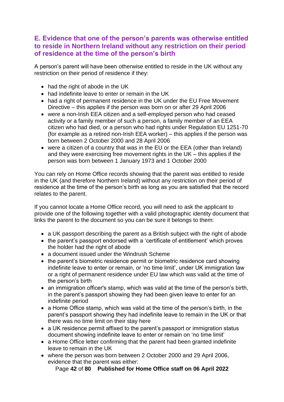#### <span id="page-41-0"></span>**E. Evidence that one of the person's parents was otherwise entitled to reside in Northern Ireland without any restriction on their period of residence at the time of the person's birth**

A person's parent will have been otherwise entitled to reside in the UK without any restriction on their period of residence if they:

- had the right of abode in the UK
- had indefinite leave to enter or remain in the UK
- had a right of permanent residence in the UK under the EU Free Movement Directive – this applies if the person was born on or after 29 April 2006
- were a non-Irish EEA citizen and a self-employed person who had ceased activity or a family member of such a person, a family member of an EEA citizen who had died, or a person who had rights under Regulation EU 1251-70 (for example as a retired non-Irish EEA worker) – this applies if the person was born between 2 October 2000 and 28 April 2006
- were a citizen of a country that was in the EU or the EEA (other than Ireland) and they were exercising free movement rights in the UK – this applies if the person was born between 1 January 1973 and 1 October 2000

You can rely on Home Office records showing that the parent was entitled to reside in the UK (and therefore Northern Ireland) without any restriction on their period of residence at the time of the person's birth as long as you are satisfied that the record relates to the parent.

If you cannot locate a Home Office record, you will need to ask the applicant to provide one of the following together with a valid photographic identity document that links the parent to the document so you can be sure it belongs to them:

- a UK passport describing the parent as a British subject with the right of abode
- the parent's passport endorsed with a 'certificate of entitlement' which proves the holder had the right of abode
- a document issued under the Windrush Scheme
- the parent's biometric residence permit or biometric residence card showing indefinite leave to enter or remain, or 'no time limit', under UK immigration law or a right of permanent residence under EU law which was valid at the time of the person's birth
- an immigration officer's stamp, which was valid at the time of the person's birth, in the parent's passport showing they had been given leave to enter for an indefinite period
- a Home Office stamp, which was valid at the time of the person's birth, in the parent's passport showing they had indefinite leave to remain in the UK or that there was no time limit on their stay here
- a UK residence permit affixed to the parent's passport or immigration status document showing indefinite leave to enter or remain on 'no time limit'
- a Home Office letter confirming that the parent had been granted indefinite leave to remain in the UK
- where the person was born between 2 October 2000 and 29 April 2006, evidence that the parent was either:

Page **42** of **80 Published for Home Office staff on 06 April 2022**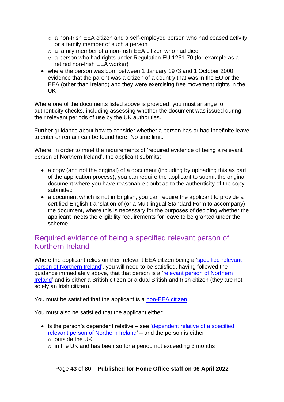- o a non-Irish EEA citizen and a self-employed person who had ceased activity or a family member of such a person
- o a family member of a non-Irish EEA citizen who had died
- o a person who had rights under Regulation EU 1251-70 (for example as a retired non-Irish EEA worker)
- where the person was born between 1 January 1973 and 1 October 2000, evidence that the parent was a citizen of a country that was in the EU or the EEA (other than Ireland) and they were exercising free movement rights in the UK

Where one of the documents listed above is provided, you must arrange for authenticity checks, including assessing whether the document was issued during their relevant periods of use by the UK authorities.

Further guidance about how to consider whether a person has or had indefinite leave to enter or remain can be found here: No time limit.

Where, in order to meet the requirements of 'required evidence of being a relevant person of Northern Ireland', the applicant submits:

- a copy (and not the original) of a document (including by uploading this as part of the application process), you can require the applicant to submit the original document where you have reasonable doubt as to the authenticity of the copy submitted
- a document which is not in English, you can require the applicant to provide a certified English translation of (or a Multilingual Standard Form to accompany) the document, where this is necessary for the purposes of deciding whether the applicant meets the eligibility requirements for leave to be granted under the scheme

## Required evidence of being a specified relevant person of Northern Ireland

Where the applicant relies on their relevant EEA citizen being a ['specified relevant](#page-33-0)  [person of Northern Ireland'](#page-33-0), you will need to be satisfied, having followed the guidance immediately above, that that person is a ['relevant person of Northern](#page-33-1)  [Ireland'](#page-33-1) and is either a British citizen or a dual British and Irish citizen (they are not solely an Irish citizen).

You must be satisfied that the applicant is a [non-EEA citizen.](#page-27-0)

You must also be satisfied that the applicant either:

• is the person's dependent relative – see 'dependent relative of a specified [relevant person of Northern Ireland'](#page-67-0) – and the person is either:

 $\circ$  in the UK and has been so for a period not exceeding 3 months

o outside the UK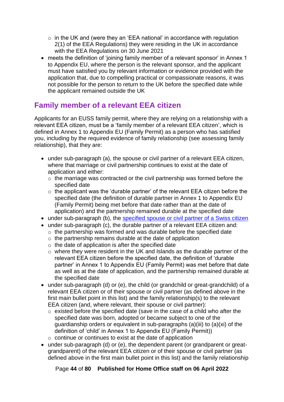- o in the UK and (were they an 'EEA national' in accordance with regulation 2(1) of the EEA Regulations) they were residing in the UK in accordance with the EEA Regulations on 30 June 2021
- meets the definition of 'joining family member of a relevant sponsor' in Annex 1 to Appendix EU, where the person is the relevant sponsor, and the applicant must have satisfied you by relevant information or evidence provided with the application that, due to compelling practical or compassionate reasons, it was not possible for the person to return to the UK before the specified date while the applicant remained outside the UK

# <span id="page-43-0"></span>**Family member of a relevant EEA citizen**

Applicants for an EUSS family permit, where they are relying on a relationship with a relevant EEA citizen, must be a 'family member of a relevant EEA citizen', which is defined in Annex 1 to Appendix EU (Family Permit) as a person who has satisfied you, including by the required evidence of family relationship (see assessing family relationship), that they are:

- under sub-paragraph (a), the spouse or civil partner of a relevant EEA citizen, where that marriage or civil partnership continues to exist at the date of application and either:
	- o the marriage was contracted or the civil partnership was formed before the specified date
	- $\circ$  the applicant was the 'durable partner' of the relevant EEA citizen before the specified date (the definition of durable partner in Annex 1 to Appendix EU (Family Permit) being met before that date rather than at the date of application) and the partnership remained durable at the specified date
- under sub-paragraph (b), the [specified spouse or civil partner of a Swiss citizen](#page-56-0)
- under sub-paragraph (c), the durable partner of a relevant EEA citizen and:  $\circ$  the partnership was formed and was durable before the specified date
	- $\circ$  the partnership remains durable at the date of application
	- o the date of application is after the specified date
	- o where they were resident in the UK and Islands as the durable partner of the relevant EEA citizen before the specified date, the definition of 'durable partner' in Annex 1 to Appendix EU (Family Permit) was met before that date as well as at the date of application, and the partnership remained durable at the specified date
- under sub-paragraph (d) or (e), the child (or grandchild or great-grandchild) of a relevant EEA citizen or of their spouse or civil partner (as defined above in the first main bullet point in this list) and the family relationship(s) to the relevant EEA citizen (and, where relevant, their spouse or civil partner):
	- o existed before the specified date (save in the case of a child who after the specified date was born, adopted or became subject to one of the guardianship orders or equivalent in sub-paragraphs (a)(iii) to (a)(xi) of the definition of 'child' in Annex 1 to Appendix EU (Family Permit))
	- o continue or continues to exist at the date of application
- under sub-paragraph (d) or (e), the dependent parent (or grandparent or greatgrandparent) of the relevant EEA citizen or of their spouse or civil partner (as defined above in the first main bullet point in this list) and the family relationship

Page **44** of **80 Published for Home Office staff on 06 April 2022**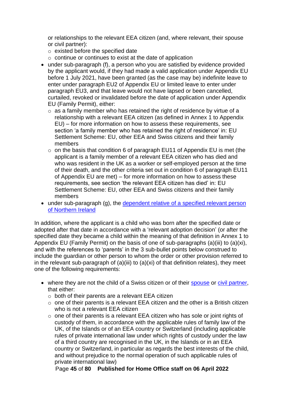or relationships to the relevant EEA citizen (and, where relevant, their spouse or civil partner):

- $\circ$  existed before the specified date
- $\circ$  continue or continues to exist at the date of application
- under sub-paragraph (f), a person who you are satisfied by evidence provided by the applicant would, if they had made a valid application under Appendix EU before 1 July 2021, have been granted (as the case may be) indefinite leave to enter under paragraph EU2 of Appendix EU or limited leave to enter under paragraph EU3, and that leave would not have lapsed or been cancelled, curtailed, revoked or invalidated before the date of application under Appendix EU (Family Permit), either:
	- $\circ$  as a family member who has retained the right of residence by virtue of a relationship with a relevant EEA citizen (as defined in Annex 1 to Appendix EU) – for more information on how to assess these requirements, see section 'a family member who has retained the right of residence' in: EU Settlement Scheme: EU, other EEA and Swiss citizens and their family members
	- $\circ$  on the basis that condition 6 of paragraph EU11 of Appendix EU is met (the applicant is a family member of a relevant EEA citizen who has died and who was resident in the UK as a worker or self-employed person at the time of their death, and the other criteria set out in condition 6 of paragraph EU11 of Appendix EU are met) – for more information on how to assess these requirements, see section 'the relevant EEA citizen has died' in: EU Settlement Scheme: EU, other EEA and Swiss citizens and their family members
- under sub-paragraph (g), the dependent relative of a specified relevant person [of Northern Ireland](#page-67-0)

In addition, where the applicant is a child who was born after the specified date or adopted after that date in accordance with a 'relevant adoption decision' (or after the specified date they became a child within the meaning of that definition in Annex 1 to Appendix EU (Family Permit) on the basis of one of sub-paragraphs (a)(iii) to (a)(xi), and with the references to 'parents' in the 3 sub-bullet points below construed to include the guardian or other person to whom the order or other provision referred to in the relevant sub-paragraph of  $(a)(iii)$  to  $(a)(xi)$  of that definition relates), they meet one of the following requirements:

- where they are not the child of a Swiss citizen or of their [spouse](#page-54-0) or [civil partner,](#page-55-0) that either:
	- o both of their parents are a relevant EEA citizen
	- $\circ$  one of their parents is a relevant EEA citizen and the other is a British citizen who is not a relevant EEA citizen
	- o one of their parents is a relevant EEA citizen who has sole or joint rights of custody of them, in accordance with the applicable rules of family law of the UK, of the Islands or of an EEA country or Switzerland (including applicable rules of private international law under which rights of custody under the law of a third country are recognised in the UK, in the Islands or in an EEA country or Switzerland, in particular as regards the best interests of the child, and without prejudice to the normal operation of such applicable rules of private international law)

Page **45** of **80 Published for Home Office staff on 06 April 2022**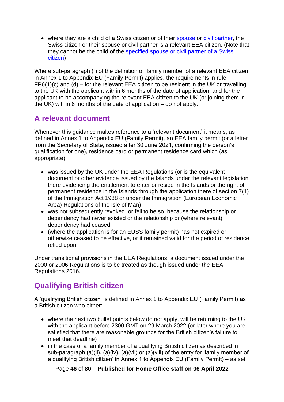• where they are a child of a Swiss citizen or of their [spouse](#page-54-0) or [civil partner,](#page-55-0) the Swiss citizen or their spouse or civil partner is a relevant EEA citizen. (Note that they cannot be the child of the [specified spouse or civil partner of a Swiss](#page-56-0)  [citizen\)](#page-56-0)

Where sub-paragraph (f) of the definition of 'family member of a relevant EEA citizen' in Annex 1 to Appendix EU (Family Permit) applies, the requirements in rule  $FP6(1)(c)$  and  $(d)$  – for the relevant EEA citizen to be resident in the UK or travelling to the UK with the applicant within 6 months of the date of application, and for the applicant to be accompanying the relevant EEA citizen to the UK (or joining them in the UK) within 6 months of the date of application – do not apply.

## <span id="page-45-0"></span>**A relevant document**

Whenever this guidance makes reference to a 'relevant document' it means, as defined in Annex 1 to Appendix EU (Family Permit), an EEA family permit (or a letter from the Secretary of State, issued after 30 June 2021, confirming the person's qualification for one), residence card or permanent residence card which (as appropriate):

- was issued by the UK under the EEA Regulations (or is the equivalent document or other evidence issued by the Islands under the relevant legislation there evidencing the entitlement to enter or reside in the Islands or the right of permanent residence in the Islands through the application there of section 7(1) of the Immigration Act 1988 or under the Immigration (European Economic Area) Regulations of the Isle of Man)
- was not subsequently revoked, or fell to be so, because the relationship or dependency had never existed or the relationship or (where relevant) dependency had ceased
- (where the application is for an EUSS family permit) has not expired or otherwise ceased to be effective, or it remained valid for the period of residence relied upon

Under transitional provisions in the EEA Regulations, a document issued under the 2000 or 2006 Regulations is to be treated as though issued under the EEA Regulations 2016.

# **Qualifying British citizen**

A 'qualifying British citizen' is defined in Annex 1 to Appendix EU (Family Permit) as a British citizen who either:

- where the next two bullet points below do not apply, will be returning to the UK with the applicant before 2300 GMT on 29 March 2022 (or later where you are satisfied that there are reasonable grounds for the British citizen's failure to meet that deadline)
- in the case of a family member of a qualifying British citizen as described in sub-paragraph (a)(ii), (a)(iv), (a)(vii) or (a)(viii) of the entry for 'family member of a qualifying British citizen' in Annex 1 to Appendix EU (Family Permit) – as set

Page **46** of **80 Published for Home Office staff on 06 April 2022**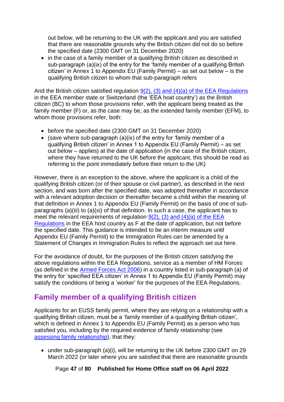out below, will be returning to the UK with the applicant and you are satisfied that there are reasonable grounds why the British citizen did not do so before the specified date (2300 GMT on 31 December 2020)

• in the case of a family member of a qualifying British citizen as described in sub-paragraph (a)(ix) of the entry for the 'family member of a qualifying British citizen' in Annex 1 to Appendix EU (Family Permit) – as set out below – is the qualifying British citizen to whom that sub-paragraph refers

And the British citizen satisfied regulation  $9(2)$ , (3) and (4)(a) of the EEA Regulations in the EEA member state or Switzerland (the 'EEA host country') as the British citizen (BC) to whom those provisions refer, with the applicant being treated as the family member (F) or, as the case may be, as the extended family member (EFM), to whom those provisions refer, both:

- before the specified date (2300 GMT on 31 December 2020)
- (save where sub-paragraph (a)(ix) of the entry for 'family member of a qualifying British citizen' in Annex 1 to Appendix EU (Family Permit) – as set out below – applies) at the date of application (in the case of the British citizen, where they have returned to the UK before the applicant, this should be read as referring to the point immediately before their return to the UK)

However, there is an exception to the above, where the applicant is a child of the qualifying British citizen (or of their spouse or civil partner), as described in the next section, and was born after the specified date, was adopted thereafter in accordance with a relevant adoption decision or thereafter became a child within the meaning of that definition in Annex 1 to Appendix EU (Family Permit) on the basis of one of subparagraphs (a)(iii) to (a)(xi) of that definition. In such a case, the applicant has to meet the relevant requirements of requiation  $9(2)$ , (3) and (4)(a) of the EEA [Regulations](https://www.legislation.gov.uk/uksi/2016/1052/made) in the EEA host country as F at the date of application, but not before the specified date. This guidance is intended to be an interim measure until Appendix EU (Family Permit) to the Immigration Rules can be amended by a Statement of Changes in Immigration Rules to reflect the approach set out here.

For the avoidance of doubt, for the purposes of the British citizen satisfying the above regulations within the EEA Regulations, service as a member of HM Forces (as defined in the [Armed Forces Act 2006\)](https://www.legislation.gov.uk/ukpga/2006/52/contents) in a country listed in sub-paragraph (a) of the entry for 'specified EEA citizen' in Annex 1 to Appendix EU (Family Permit) may satisfy the conditions of being a 'worker' for the purposes of the EEA Regulations.

# <span id="page-46-0"></span>**Family member of a qualifying British citizen**

Applicants for an EUSS family permit, where they are relying on a relationship with a qualifying British citizen, must be a 'family member of a qualifying British citizen', which is defined in Annex 1 to Appendix EU (Family Permit) as a person who has satisfied you, including by the required evidence of family relationship (see [assessing family relationship\)](#page-53-0), that they:

• under sub-paragraph (a)(i), will be returning to the UK before 2300 GMT on 29 March 2022 (or later where you are satisfied that there are reasonable grounds

Page **47** of **80 Published for Home Office staff on 06 April 2022**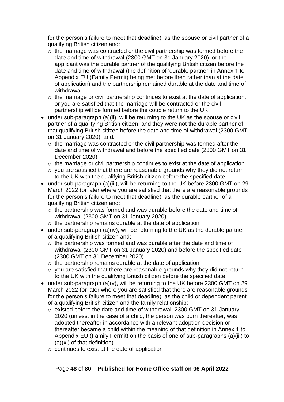for the person's failure to meet that deadline), as the spouse or civil partner of a qualifying British citizen and:

- $\circ$  the marriage was contracted or the civil partnership was formed before the date and time of withdrawal (2300 GMT on 31 January 2020), or the applicant was the durable partner of the qualifying British citizen before the date and time of withdrawal (the definition of 'durable partner' in Annex 1 to Appendix EU (Family Permit) being met before then rather than at the date of application) and the partnership remained durable at the date and time of withdrawal
- $\circ$  the marriage or civil partnership continues to exist at the date of application, or you are satisfied that the marriage will be contracted or the civil partnership will be formed before the couple return to the UK
- under sub-paragraph (a)(ii), will be returning to the UK as the spouse or civil partner of a qualifying British citizen, and they were not the durable partner of that qualifying British citizen before the date and time of withdrawal (2300 GMT on 31 January 2020), and:
	- o the marriage was contracted or the civil partnership was formed after the date and time of withdrawal and before the specified date (2300 GMT on 31 December 2020)
	- $\circ$  the marriage or civil partnership continues to exist at the date of application
	- $\circ$  vou are satisfied that there are reasonable grounds why they did not return to the UK with the qualifying British citizen before the specified date
- under sub-paragraph (a)(iii), will be returning to the UK before 2300 GMT on 29 March 2022 (or later where you are satisfied that there are reasonable grounds for the person's failure to meet that deadline), as the durable partner of a qualifying British citizen and:
	- o the partnership was formed and was durable before the date and time of withdrawal (2300 GMT on 31 January 2020)
	- o the partnership remains durable at the date of application
- under sub-paragraph (a)(iv), will be returning to the UK as the durable partner of a qualifying British citizen and:
	- o the partnership was formed and was durable after the date and time of withdrawal (2300 GMT on 31 January 2020) and before the specified date (2300 GMT on 31 December 2020)
	- $\circ$  the partnership remains durable at the date of application
	- o you are satisfied that there are reasonable grounds why they did not return to the UK with the qualifying British citizen before the specified date
- under sub-paragraph (a)(v), will be returning to the UK before 2300 GMT on 29 March 2022 (or later where you are satisfied that there are reasonable grounds for the person's failure to meet that deadline), as the child or dependent parent of a qualifying British citizen and the family relationship:
	- $\circ$  existed before the date and time of withdrawal: 2300 GMT on 31 January 2020 (unless, in the case of a child, the person was born thereafter, was adopted thereafter in accordance with a relevant adoption decision or thereafter became a child within the meaning of that definition in Annex 1 to Appendix EU (Family Permit) on the basis of one of sub-paragraphs (a)(iii) to (a)(xi) of that definition)
	- o continues to exist at the date of application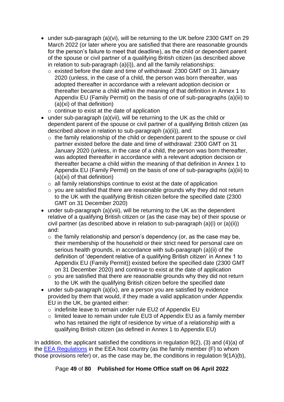- under sub-paragraph (a)(vi), will be returning to the UK before 2300 GMT on 29 March 2022 (or later where you are satisfied that there are reasonable grounds for the person's failure to meet that deadline), as the child or dependent parent of the spouse or civil partner of a qualifying British citizen (as described above in relation to sub-paragraph (a)(i)), and all the family relationships:
	- o existed before the date and time of withdrawal: 2300 GMT on 31 January 2020 (unless, in the case of a child, the person was born thereafter, was adopted thereafter in accordance with a relevant adoption decision or thereafter became a child within the meaning of that definition in Annex 1 to Appendix EU (Family Permit) on the basis of one of sub-paragraphs (a)(iii) to (a)(xi) of that definition)
	- $\circ$  continue to exist at the date of application
- under sub-paragraph (a)(vii), will be returning to the UK as the child or dependent parent of the spouse or civil partner of a qualifying British citizen (as described above in relation to sub-paragraph (a)(ii)), and:
	- o the family relationship of the child or dependent parent to the spouse or civil partner existed before the date and time of withdrawal: 2300 GMT on 31 January 2020 (unless, in the case of a child, the person was born thereafter, was adopted thereafter in accordance with a relevant adoption decision or thereafter became a child within the meaning of that definition in Annex 1 to Appendix EU (Family Permit) on the basis of one of sub-paragraphs (a)(iii) to (a)(xi) of that definition)
	- $\circ$  all family relationships continue to exist at the date of application
	- $\circ$  you are satisfied that there are reasonable grounds why they did not return to the UK with the qualifying British citizen before the specified date (2300 GMT on 31 December 2020)
- under sub-paragraph (a)(viii), will be returning to the UK as the dependent relative of a qualifying British citizen or (as the case may be) of their spouse or civil partner (as described above in relation to sub-paragraph (a)(i) or (a)(ii)) and:
	- $\circ$  the family relationship and person's dependency (or, as the case may be, their membership of the household or their strict need for personal care on serious health grounds, in accordance with sub-paragraph (a)(ii) of the definition of 'dependent relative of a qualifying British citizen' in Annex 1 to Appendix EU (Family Permit)) existed before the specified date (2300 GMT on 31 December 2020) and continue to exist at the date of application
	- o you are satisfied that there are reasonable grounds why they did not return to the UK with the qualifying British citizen before the specified date
- under sub-paragraph (a)(ix), are a person you are satisfied by evidence provided by them that would, if they made a valid application under Appendix EU in the UK, be granted either:
	- o indefinite leave to remain under rule EU2 of Appendix EU
	- o limited leave to remain under rule EU3 of Appendix EU as a family member who has retained the right of residence by virtue of a relationship with a qualifying British citizen (as defined in Annex 1 to Appendix EU)

In addition, the applicant satisfied the conditions in regulation 9(2), (3) and (4)(a) of the **EEA Regulations** in the EEA host country (as the family member (F) to whom those provisions refer) or, as the case may be, the conditions in regulation 9(1A)(b),

Page **49** of **80 Published for Home Office staff on 06 April 2022**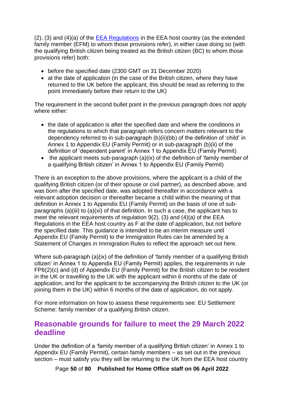(2), (3) and (4)(a) of the [EEA Regulations](https://www.legislation.gov.uk/uksi/2016/1052/contents) in the EEA host country (as the extended family member (EFM) to whom those provisions refer), in either case doing so (with the qualifying British citizen being treated as the British citizen (BC) to whom those provisions refer) both:

- before the specified date (2300 GMT on 31 December 2020)
- at the date of application (in the case of the British citizen, where they have returned to the UK before the applicant, this should be read as referring to the point immediately before their return to the UK)

The requirement in the second bullet point in the previous paragraph does not apply where either:

- the date of application is after the specified date and where the conditions in the regulations to which that paragraph refers concern matters relevant to the dependency referred to in sub-paragraph (b)(ii)(bb) of the definition of 'child' in Annex 1 to Appendix EU (Family Permit) or in sub-paragraph (b)(ii) of the definition of 'dependent parent' in Annex 1 to Appendix EU (Family Permit)
- the applicant meets sub-paragraph (a)(ix) of the definition of 'family member of a qualifying British citizen' in Annex 1 to Appendix EU (Family Permit)

There is an exception to the above provisions, where the applicant is a child of the qualifying British citizen (or of their spouse or civil partner), as described above, and was born after the specified date, was adopted thereafter in accordance with a relevant adoption decision or thereafter became a child within the meaning of that definition in Annex 1 to Appendix EU (Family Permit) on the basis of one of subparagraphs (a)(iii) to (a)(xi) of that definition. In such a case, the applicant has to meet the relevant requirements of regulation 9(2), (3) and (4)(a) of the EEA Regulations in the EEA host country as F at the date of application, but not before the specified date. This guidance is intended to be an interim measure until Appendix EU (Family Permit) to the Immigration Rules can be amended by a Statement of Changes in Immigration Rules to reflect the approach set out here.

Where sub-paragraph (a)(ix) of the definition of 'family member of a qualifying British citizen' in Annex 1 to Appendix EU (Family Permit) applies, the requirements in rule FP6(2)(c) and (d) of Appendix EU (Family Permit) for the British citizen to be resident in the UK or travelling to the UK with the applicant within 6 months of the date of application, and for the applicant to be accompanying the British citizen to the UK (or joining them in the UK) within 6 months of the date of application, do not apply.

For more information on how to assess these requirements see: EU Settlement Scheme: family member of a qualifying British citizen.

#### **Reasonable grounds for failure to meet the 29 March 2022 deadline**

Under the definition of a 'family member of a qualifying British citizen' in Annex 1 to Appendix EU (Family Permit), certain family members – as set out in the previous section – must satisfy you they will be returning to the UK from the EEA host country

Page **50** of **80 Published for Home Office staff on 06 April 2022**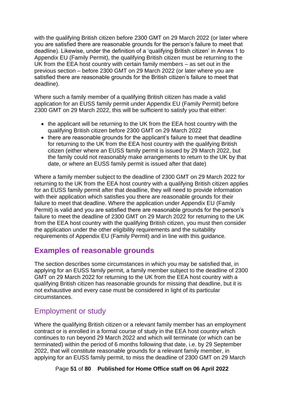with the qualifying British citizen before 2300 GMT on 29 March 2022 (or later where you are satisfied there are reasonable grounds for the person's failure to meet that deadline). Likewise, under the definition of a 'qualifying British citizen' in Annex 1 to Appendix EU (Family Permit), the qualifying British citizen must be returning to the UK from the EEA host country with certain family members – as set out in the previous section – before 2300 GMT on 29 March 2022 (or later where you are satisfied there are reasonable grounds for the British citizen's failure to meet that deadline).

Where such a family member of a qualifying British citizen has made a valid application for an EUSS family permit under Appendix EU (Family Permit) before 2300 GMT on 29 March 2022, this will be sufficient to satisfy you that either:

- the applicant will be returning to the UK from the EEA host country with the qualifying British citizen before 2300 GMT on 29 March 2022
- there are reasonable grounds for the applicant's failure to meet that deadline for returning to the UK from the EEA host country with the qualifying British citizen (either where an EUSS family permit is issued by 29 March 2022, but the family could not reasonably make arrangements to return to the UK by that date, or where an EUSS family permit is issued after that date)

Where a family member subject to the deadline of 2300 GMT on 29 March 2022 for returning to the UK from the EEA host country with a qualifying British citizen applies for an EUSS family permit after that deadline, they will need to provide information with their application which satisfies you there are reasonable grounds for their failure to meet that deadline. Where the application under Appendix EU (Family Permit) is valid and you are satisfied there are reasonable grounds for the person's failure to meet the deadline of 2300 GMT on 29 March 2022 for returning to the UK from the EEA host country with the qualifying British citizen, you must then consider the application under the other eligibility requirements and the suitability requirements of Appendix EU (Family Permit) and in line with this guidance.

## **Examples of reasonable grounds**

The section describes some circumstances in which you may be satisfied that, in applying for an EUSS family permit, a family member subject to the deadline of 2300 GMT on 29 March 2022 for returning to the UK from the EEA host country with a qualifying British citizen has reasonable grounds for missing that deadline, but it is not exhaustive and every case must be considered in light of its particular circumstances.

## Employment or study

Where the qualifying British citizen or a relevant family member has an employment contract or is enrolled in a formal course of study in the EEA host country which continues to run beyond 29 March 2022 and which will terminate (or which can be terminated) within the period of 6 months following that date, i.e. by 29 September 2022, that will constitute reasonable grounds for a relevant family member, in applying for an EUSS family permit, to miss the deadline of 2300 GMT on 29 March

Page **51** of **80 Published for Home Office staff on 06 April 2022**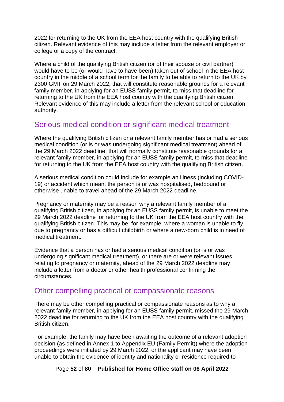2022 for returning to the UK from the EEA host country with the qualifying British citizen. Relevant evidence of this may include a letter from the relevant employer or college or a copy of the contract.

Where a child of the qualifying British citizen (or of their spouse or civil partner) would have to be (or would have to have been) taken out of school in the EEA host country in the middle of a school term for the family to be able to return to the UK by 2300 GMT on 29 March 2022, that will constitute reasonable grounds for a relevant family member, in applying for an EUSS family permit, to miss that deadline for returning to the UK from the EEA host country with the qualifying British citizen. Relevant evidence of this may include a letter from the relevant school or education authority.

#### Serious medical condition or significant medical treatment

Where the qualifying British citizen or a relevant family member has or had a serious medical condition (or is or was undergoing significant medical treatment) ahead of the 29 March 2022 deadline, that will normally constitute reasonable grounds for a relevant family member, in applying for an EUSS family permit, to miss that deadline for returning to the UK from the EEA host country with the qualifying British citizen.

A serious medical condition could include for example an illness (including COVID-19) or accident which meant the person is or was hospitalised, bedbound or otherwise unable to travel ahead of the 29 March 2022 deadline.

Pregnancy or maternity may be a reason why a relevant family member of a qualifying British citizen, in applying for an EUSS family permit, is unable to meet the 29 March 2022 deadline for returning to the UK from the EEA host country with the qualifying British citizen. This may be, for example, where a woman is unable to fly due to pregnancy or has a difficult childbirth or where a new-born child is in need of medical treatment.

Evidence that a person has or had a serious medical condition (or is or was undergoing significant medical treatment), or there are or were relevant issues relating to pregnancy or maternity, ahead of the 29 March 2022 deadline may include a letter from a doctor or other health professional confirming the circumstances.

#### Other compelling practical or compassionate reasons

There may be other compelling practical or compassionate reasons as to why a relevant family member, in applying for an EUSS family permit, missed the 29 March 2022 deadline for returning to the UK from the EEA host country with the qualifying British citizen.

For example, the family may have been awaiting the outcome of a relevant adoption decision (as defined in Annex 1 to Appendix EU (Family Permit)) where the adoption proceedings were initiated by 29 March 2022, or the applicant may have been unable to obtain the evidence of identity and nationality or residence required to

Page **52** of **80 Published for Home Office staff on 06 April 2022**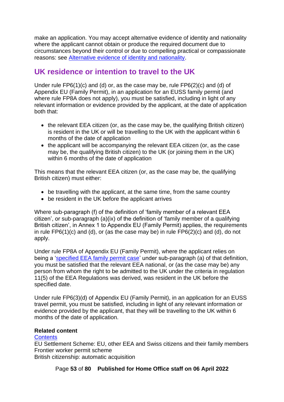make an application. You may accept alternative evidence of identity and nationality where the applicant cannot obtain or produce the required document due to circumstances beyond their control or due to compelling practical or compassionate reasons: see [Alternative evidence of identity and nationality.](#page-17-0)

# **UK residence or intention to travel to the UK**

Under rule FP6(1)(c) and (d) or, as the case may be, rule FP6(2)(c) and (d) of Appendix EU (Family Permit), in an application for an EUSS family permit (and where rule FP8A does not apply), you must be satisfied, including in light of any relevant information or evidence provided by the applicant, at the date of application both that:

- the relevant EEA citizen (or, as the case may be, the qualifying British citizen) is resident in the UK or will be travelling to the UK with the applicant within 6 months of the date of application
- the applicant will be accompanying the relevant EEA citizen (or, as the case may be, the qualifying British citizen) to the UK (or joining them in the UK) within 6 months of the date of application

This means that the relevant EEA citizen (or, as the case may be, the qualifying British citizen) must either:

- be travelling with the applicant, at the same time, from the same country
- be resident in the UK before the applicant arrives

Where sub-paragraph (f) of the definition of 'family member of a relevant EEA citizen', or sub-paragraph (a)(ix) of the definition of 'family member of a qualifying British citizen', in Annex 1 to Appendix EU (Family Permit) applies, the requirements in rule  $FP6(1)(c)$  and (d), or (as the case may be) in rule  $FP6(2)(c)$  and (d), do not apply.

Under rule FP8A of Appendix EU (Family Permit), where the applicant relies on being a ['specified EEA family permit case'](#page-25-0) under sub-paragraph (a) of that definition, you must be satisfied that the relevant EEA national, or (as the case may be) any person from whom the right to be admitted to the UK under the criteria in regulation 11(5) of the EEA Regulations was derived, was resident in the UK before the specified date.

Under rule FP6(3)(d) of Appendix EU (Family Permit), in an application for an EUSS travel permit, you must be satisfied, including in light of any relevant information or evidence provided by the applicant, that they will be travelling to the UK within 6 months of the date of application.

#### **Related content**

#### **[Contents](#page-1-0)**

EU Settlement Scheme: EU, other EEA and Swiss citizens and their family members Frontier worker permit scheme

British citizenship: automatic acquisition

Page **53** of **80 Published for Home Office staff on 06 April 2022**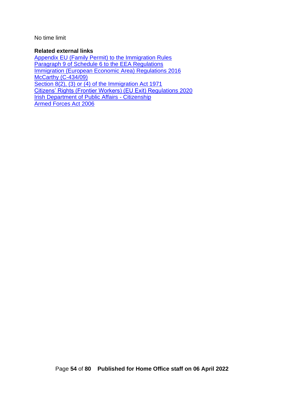No time limit

#### **Related external links**

<span id="page-53-0"></span>[Appendix EU \(Family Permit\) to the Immigration Rules](https://www.gov.uk/guidance/immigration-rules/appendix-eu-family-permit) [Paragraph 9 of Schedule 6 to the](https://www.legislation.gov.uk/uksi/2016/1052/schedule/6/paragraph/9) EEA Regulations [Immigration \(European Economic Area\) Regulations 2016](http://www.legislation.gov.uk/uksi/2016/1052/contents) [McCarthy \(C-434/09\)](https://eur-lex.europa.eu/legal-content/EN/TXT/?uri=CELEX%3A62009CJ0434) [Section 8\(2\), \(3\) or \(4\) of the Immigration Act 1971](https://www.legislation.gov.uk/ukpga/1971/77/section/8/enacted) [Citizens' Rights \(Frontier Workers\) \(EU Exit\) Regulations 2020](https://www.legislation.gov.uk/ukdsi/2020/9780348212228/contents) [Irish Department of Public Affairs -](https://www.dfa.ie/citizenship/) Citizenship [Armed Forces Act 2006](https://www.legislation.gov.uk/ukpga/2006/52/contents)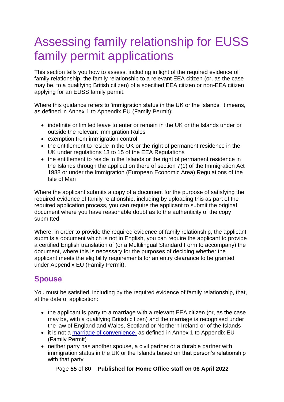# Assessing family relationship for EUSS family permit applications

This section tells you how to assess, including in light of the required evidence of family relationship, the family relationship to a relevant EEA citizen (or, as the case may be, to a qualifying British citizen) of a specified EEA citizen or non-EEA citizen applying for an EUSS family permit.

Where this guidance refers to 'immigration status in the UK or the Islands' it means, as defined in Annex 1 to Appendix EU (Family Permit):

- indefinite or limited leave to enter or remain in the UK or the Islands under or outside the relevant Immigration Rules
- exemption from immigration control
- the entitlement to reside in the UK or the right of permanent residence in the UK under regulations 13 to 15 of the EEA Regulations
- the entitlement to reside in the Islands or the right of permanent residence in the Islands through the application there of section 7(1) of the Immigration Act 1988 or under the Immigration (European Economic Area) Regulations of the Isle of Man

Where the applicant submits a copy of a document for the purpose of satisfying the required evidence of family relationship, including by uploading this as part of the required application process, you can require the applicant to submit the original document where you have reasonable doubt as to the authenticity of the copy submitted.

Where, in order to provide the required evidence of family relationship, the applicant submits a document which is not in English, you can require the applicant to provide a certified English translation of (or a Multilingual Standard Form to accompany) the document, where this is necessary for the purposes of deciding whether the applicant meets the eligibility requirements for an entry clearance to be granted under Appendix EU (Family Permit).

# <span id="page-54-0"></span>**Spouse**

You must be satisfied, including by the required evidence of family relationship, that, at the date of application:

- the applicant is party to a marriage with a relevant EEA citizen (or, as the case may be, with a qualifying British citizen) and the marriage is recognised under the law of England and Wales, Scotland or Northern Ireland or of the Islands
- it is not a [marriage of convenience,](#page-58-0) as defined in Annex 1 to Appendix EU (Family Permit)
- neither party has another spouse, a civil partner or a durable partner with immigration status in the UK or the Islands based on that person's relationship with that party

Page **55** of **80 Published for Home Office staff on 06 April 2022**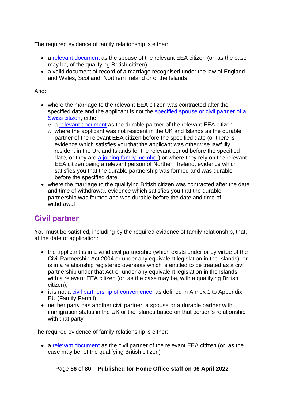The required evidence of family relationship is either:

- a [relevant document](#page-45-0) as the spouse of the relevant EEA citizen (or, as the case may be, of the qualifying British citizen)
- a valid document of record of a marriage recognised under the law of England and Wales, Scotland, Northern Ireland or of the Islands

#### And:

- where the marriage to the relevant EEA citizen was contracted after the specified date and the applicant is not the specified spouse or civil partner of a [Swiss citizen,](#page-56-0) either:
	- o a [relevant document](#page-45-0) as the durable partner of the relevant EEA citizen
	- o where the applicant was not resident in the UK and Islands as the durable partner of the relevant EEA citizen before the specified date (or there is evidence which satisfies you that the applicant was otherwise lawfully resident in the UK and Islands for the relevant period before the specified date, or they are [a joining family member\)](#page-25-1) or where they rely on the relevant EEA citizen being a relevant person of Northern Ireland, evidence which satisfies you that the durable partnership was formed and was durable before the specified date
- where the marriage to the qualifying British citizen was contracted after the date and time of withdrawal, evidence which satisfies you that the durable partnership was formed and was durable before the date and time of withdrawal

# <span id="page-55-0"></span>**Civil partner**

You must be satisfied, including by the required evidence of family relationship, that, at the date of application:

- the applicant is in a valid civil partnership (which exists under or by virtue of the Civil Partnership Act 2004 or under any equivalent legislation in the Islands), or is in a relationship registered overseas which is entitled to be treated as a civil partnership under that Act or under any equivalent legislation in the Islands, with a relevant EEA citizen (or, as the case may be, with a qualifying British citizen);
- it is not a [civil partnership of convenience,](#page-58-0) as defined in Annex 1 to Appendix EU (Family Permit)
- neither party has another civil partner, a spouse or a durable partner with immigration status in the UK or the Islands based on that person's relationship with that party

The required evidence of family relationship is either:

• a [relevant document](#page-45-0) as the civil partner of the relevant EEA citizen (or, as the case may be, of the qualifying British citizen)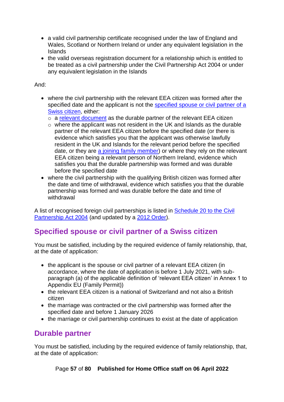- a valid civil partnership certificate recognised under the law of England and Wales, Scotland or Northern Ireland or under any equivalent legislation in the Islands
- the valid overseas registration document for a relationship which is entitled to be treated as a civil partnership under the Civil Partnership Act 2004 or under any equivalent legislation in the Islands

And:

- where the civil partnership with the relevant EEA citizen was formed after the specified date and the applicant is not the specified spouse or civil partner of a [Swiss citizen,](#page-56-0) either:
	- o a [relevant document](#page-45-0) as the durable partner of the relevant EEA citizen
	- $\circ$  where the applicant was not resident in the UK and Islands as the durable partner of the relevant EEA citizen before the specified date (or there is evidence which satisfies you that the applicant was otherwise lawfully resident in the UK and Islands for the relevant period before the specified date, or they are [a joining family member\)](#page-25-1) or where they rely on the relevant EEA citizen being a relevant person of Northern Ireland, evidence which satisfies you that the durable partnership was formed and was durable before the specified date
- where the civil partnership with the qualifying British citizen was formed after the date and time of withdrawal, evidence which satisfies you that the durable partnership was formed and was durable before the date and time of withdrawal

A list of recognised foreign civil partnerships is listed in [Schedule 20 to the Civil](http://www.legislation.gov.uk/ukpga/2004/33/schedule/20)  [Partnership Act 2004](http://www.legislation.gov.uk/ukpga/2004/33/schedule/20) (and updated by a [2012 Order\)](http://www.legislation.gov.uk/uksi/2012/2976/contents/made).

# <span id="page-56-0"></span>**Specified spouse or civil partner of a Swiss citizen**

You must be satisfied, including by the required evidence of family relationship, that, at the date of application:

- the applicant is the spouse or civil partner of a relevant EEA citizen (in accordance, where the date of application is before 1 July 2021, with subparagraph (a) of the applicable definition of 'relevant EEA citizen' in Annex 1 to Appendix EU (Family Permit))
- the relevant EEA citizen is a national of Switzerland and not also a British citizen
- the marriage was contracted or the civil partnership was formed after the specified date and before 1 January 2026
- the marriage or civil partnership continues to exist at the date of application

# **Durable partner**

You must be satisfied, including by the required evidence of family relationship, that, at the date of application:

Page **57** of **80 Published for Home Office staff on 06 April 2022**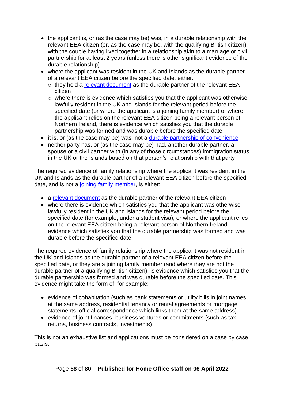- the applicant is, or (as the case may be) was, in a durable relationship with the relevant EEA citizen (or, as the case may be, with the qualifying British citizen), with the couple having lived together in a relationship akin to a marriage or civil partnership for at least 2 years (unless there is other significant evidence of the durable relationship)
- where the applicant was resident in the UK and Islands as the durable partner of a relevant EEA citizen before the specified date, either:
	- $\circ$  they held a [relevant document](#page-45-0) as the durable partner of the relevant EEA citizen
	- $\circ$  where there is evidence which satisfies you that the applicant was otherwise lawfully resident in the UK and Islands for the relevant period before the specified date (or where the applicant is a joining family member) or where the applicant relies on the relevant EEA citizen being a relevant person of Northern Ireland, there is evidence which satisfies you that the durable partnership was formed and was durable before the specified date
- it is, or (as the case may be) was, not a [durable partnership of convenience](#page-58-0)
- neither party has, or (as the case may be) had, another durable partner, a spouse or a civil partner with (in any of those circumstances) immigration status in the UK or the Islands based on that person's relationship with that party

The required evidence of family relationship where the applicant was resident in the UK and Islands as the durable partner of a relevant EEA citizen before the specified date, and is not a [joining family member,](#page-25-1) is either:

- a [relevant document](#page-45-0) as the durable partner of the relevant EEA citizen
- where there is evidence which satisfies you that the applicant was otherwise lawfully resident in the UK and Islands for the relevant period before the specified date (for example, under a student visa), or where the applicant relies on the relevant EEA citizen being a relevant person of Northern Ireland, evidence which satisfies you that the durable partnership was formed and was durable before the specified date

The required evidence of family relationship where the applicant was not resident in the UK and Islands as the durable partner of a relevant EEA citizen before the specified date, or they are a joining family member (and where they are not the durable partner of a qualifying British citizen), is evidence which satisfies you that the durable partnership was formed and was durable before the specified date. This evidence might take the form of, for example:

- evidence of cohabitation (such as bank statements or utility bills in joint names at the same address, residential tenancy or rental agreements or mortgage statements, official correspondence which links them at the same address)
- evidence of joint finances, business ventures or commitments (such as tax returns, business contracts, investments)

This is not an exhaustive list and applications must be considered on a case by case basis.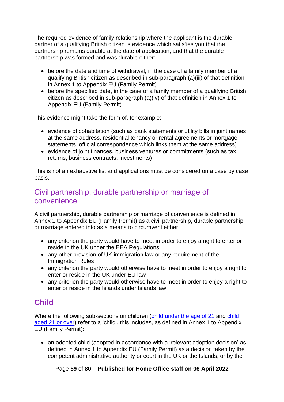The required evidence of family relationship where the applicant is the durable partner of a qualifying British citizen is evidence which satisfies you that the partnership remains durable at the date of application, and that the durable partnership was formed and was durable either:

- before the date and time of withdrawal, in the case of a family member of a qualifying British citizen as described in sub-paragraph (a)(iii) of that definition in Annex 1 to Appendix EU (Family Permit)
- before the specified date, in the case of a family member of a qualifying British citizen as described in sub-paragraph (a)(iv) of that definition in Annex 1 to Appendix EU (Family Permit)

This evidence might take the form of, for example:

- evidence of cohabitation (such as bank statements or utility bills in joint names at the same address, residential tenancy or rental agreements or mortgage statements, official correspondence which links them at the same address)
- evidence of joint finances, business ventures or commitments (such as tax returns, business contracts, investments)

This is not an exhaustive list and applications must be considered on a case by case basis.

#### <span id="page-58-0"></span>Civil partnership, durable partnership or marriage of convenience

A civil partnership, durable partnership or marriage of convenience is defined in Annex 1 to Appendix EU (Family Permit) as a civil partnership, durable partnership or marriage entered into as a means to circumvent either:

- any criterion the party would have to meet in order to enjoy a right to enter or reside in the UK under the EEA Regulations
- any other provision of UK immigration law or any requirement of the Immigration Rules
- any criterion the party would otherwise have to meet in order to enjoy a right to enter or reside in the UK under EU law
- any criterion the party would otherwise have to meet in order to enjoy a right to enter or reside in the Islands under Islands law

# **Child**

Where the following sub-sections on children [\(child under the age of 21](#page-60-0) and [child](#page-61-0)  [aged 21 or over\)](#page-61-0) refer to a 'child', this includes, as defined in Annex 1 to Appendix EU (Family Permit):

• an adopted child (adopted in accordance with a 'relevant adoption decision' as defined in Annex 1 to Appendix EU (Family Permit) as a decision taken by the competent administrative authority or court in the UK or the Islands, or by the

Page **59** of **80 Published for Home Office staff on 06 April 2022**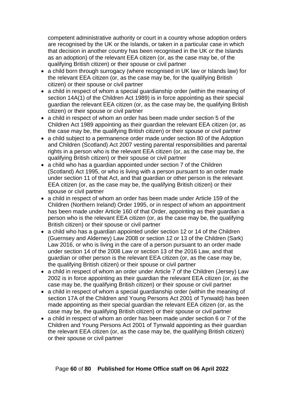competent administrative authority or court in a country whose adoption orders are recognised by the UK or the Islands, or taken in a particular case in which that decision in another country has been recognised in the UK or the Islands as an adoption) of the relevant EEA citizen (or, as the case may be, of the qualifying British citizen) or their spouse or civil partner

- a child born through surrogacy (where recognised in UK law or Islands law) for the relevant EEA citizen (or, as the case may be, for the qualifying British citizen) or their spouse or civil partner
- a child in respect of whom a special guardianship order (within the meaning of section 14A(1) of the Children Act 1989) is in force appointing as their special guardian the relevant EEA citizen (or, as the case may be, the qualifying British citizen) or their spouse or civil partner
- a child in respect of whom an order has been made under section 5 of the Children Act 1989 appointing as their guardian the relevant EEA citizen (or, as the case may be, the qualifying British citizen) or their spouse or civil partner
- a child subject to a permanence order made under section 80 of the Adoption and Children (Scotland) Act 2007 vesting parental responsibilities and parental rights in a person who is the relevant EEA citizen (or, as the case may be, the qualifying British citizen) or their spouse or civil partner
- a child who has a guardian appointed under section 7 of the Children (Scotland) Act 1995, or who is living with a person pursuant to an order made under section 11 of that Act, and that guardian or other person is the relevant EEA citizen (or, as the case may be, the qualifying British citizen) or their spouse or civil partner
- a child in respect of whom an order has been made under Article 159 of the Children (Northern Ireland) Order 1995, or in respect of whom an appointment has been made under Article 160 of that Order, appointing as their guardian a person who is the relevant EEA citizen (or, as the case may be, the qualifying British citizen) or their spouse or civil partner
- a child who has a guardian appointed under section 12 or 14 of the Children (Guernsey and Alderney) Law 2008 or section 12 or 13 of the Children (Sark) Law 2016, or who is living in the care of a person pursuant to an order made under section 14 of the 2008 Law or section 13 of the 2016 Law, and that guardian or other person is the relevant EEA citizen (or, as the case may be, the qualifying British citizen) or their spouse or civil partner
- a child in respect of whom an order under Article 7 of the Children (Jersey) Law 2002 is in force appointing as their guardian the relevant EEA citizen (or, as the case may be, the qualifying British citizen) or their spouse or civil partner
- a child in respect of whom a special guardianship order (within the meaning of section 17A of the Children and Young Persons Act 2001 of Tynwald) has been made appointing as their special guardian the relevant EEA citizen (or, as the case may be, the qualifying British citizen) or their spouse or civil partner
- a child in respect of whom an order has been made under section 6 or 7 of the Children and Young Persons Act 2001 of Tynwald appointing as their guardian the relevant EEA citizen (or, as the case may be, the qualifying British citizen) or their spouse or civil partner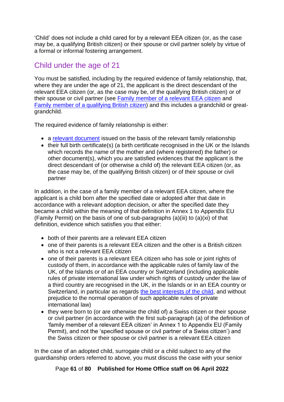'Child' does not include a child cared for by a relevant EEA citizen (or, as the case may be, a qualifying British citizen) or their spouse or civil partner solely by virtue of a formal or informal fostering arrangement.

## <span id="page-60-0"></span>Child under the age of 21

You must be satisfied, including by the required evidence of family relationship, that, where they are under the age of 21, the applicant is the direct descendant of the relevant EEA citizen (or, as the case may be, of the qualifying British citizen) or of their spouse or civil partner (see [Family member of a relevant EEA citizen](#page-43-0) and Family member [of a qualifying British citizen\)](#page-46-0) and this includes a grandchild or greatgrandchild.

The required evidence of family relationship is either:

- a [relevant document](#page-45-0) issued on the basis of the relevant family relationship
- their full birth certificate(s) (a birth certificate recognised in the UK or the Islands which records the name of the mother and (where registered) the father) or other document(s), which you are satisfied evidences that the applicant is the direct descendant of (or otherwise a child of) the relevant EEA citizen (or, as the case may be, of the qualifying British citizen) or of their spouse or civil partner

In addition, in the case of a family member of a relevant EEA citizen, where the applicant is a child born after the specified date or adopted after that date in accordance with a relevant adoption decision, or after the specified date they became a child within the meaning of that definition in Annex 1 to Appendix EU (Family Permit) on the basis of one of sub-paragraphs  $(a)(iii)$  to  $(a)(xi)$  of that definition, evidence which satisfies you that either:

- both of their parents are a relevant EEA citizen
- one of their parents is a relevant EEA citizen and the other is a British citizen who is not a relevant EEA citizen
- one of their parents is a relevant EEA citizen who has sole or joint rights of custody of them, in accordance with the applicable rules of family law of the UK, of the Islands or of an EEA country or Switzerland (including applicable rules of private international law under which rights of custody under the law of a third country are recognised in the UK, in the Islands or in an EEA country or Switzerland, in particular as regards [the best interests of the child,](#page-5-0) and without prejudice to the normal operation of such applicable rules of private international law)
- they were born to (or are otherwise the child of) a Swiss citizen or their spouse or civil partner (in accordance with the first sub-paragraph (a) of the definition of 'family member of a relevant EEA citizen' in Annex 1 to Appendix EU (Family Permit), and not the 'specified spouse or civil partner of a Swiss citizen') and the Swiss citizen or their spouse or civil partner is a relevant EEA citizen

In the case of an adopted child, surrogate child or a child subject to any of the guardianship orders referred to above, you must discuss the case with your senior

Page **61** of **80 Published for Home Office staff on 06 April 2022**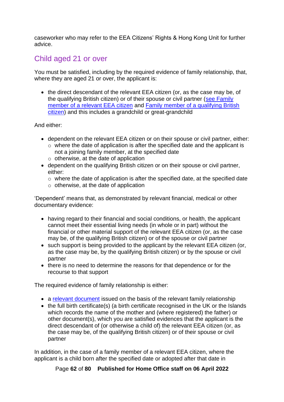caseworker who may refer to [the EEA Citizens' Rights & Hong Kong Unit](mailto:EuropeanMigrationPolicyEnquiries@homeoffice.gov.uk) for further advice.

## <span id="page-61-0"></span>Child aged 21 or over

You must be satisfied, including by the required evidence of family relationship, that, where they are aged 21 or over, the applicant is:

• the direct descendant of the relevant EEA citizen (or, as the case may be, of the qualifying British citizen) or of their spouse or civil partner [\(see Family](#page-43-0)  [member of a relevant EEA citizen](#page-43-0) and [Family member of a qualifying British](#page-46-0)  [citizen\)](#page-46-0) and this includes a grandchild or great-grandchild

#### And either:

- dependent on the relevant EEA citizen or on their spouse or civil partner, either:
	- o where the date of application is after the specified date and the applicant is not a joining family member, at the specified date
	- $\circ$  otherwise, at the date of application
- dependent on the qualifying British citizen or on their spouse or civil partner, either:
	- o where the date of application is after the specified date, at the specified date
	- o otherwise, at the date of application

'Dependent' means that, as demonstrated by relevant financial, medical or other documentary evidence:

- having regard to their financial and social conditions, or health, the applicant cannot meet their essential living needs (in whole or in part) without the financial or other material support of the relevant EEA citizen (or, as the case may be, of the qualifying British citizen) or of the spouse or civil partner
- such support is being provided to the applicant by the relevant EEA citizen (or, as the case may be, by the qualifying British citizen) or by the spouse or civil partner
- there is no need to determine the reasons for that dependence or for the recourse to that support

The required evidence of family relationship is either:

- a [relevant document](#page-45-0) issued on the basis of the relevant family relationship
- the full birth certificate(s) (a birth certificate recognised in the UK or the Islands which records the name of the mother and (where registered) the father) or other document(s), which you are satisfied evidences that the applicant is the direct descendant of (or otherwise a child of) the relevant EEA citizen (or, as the case may be, of the qualifying British citizen) or of their spouse or civil partner

In addition, in the case of a family member of a relevant EEA citizen, where the applicant is a child born after the specified date or adopted after that date in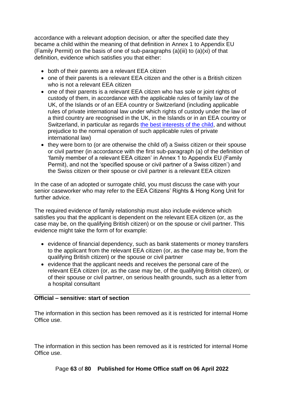accordance with a relevant adoption decision, or after the specified date they became a child within the meaning of that definition in Annex 1 to Appendix EU (Family Permit) on the basis of one of sub-paragraphs  $(a)(iii)$  to  $(a)(xi)$  of that definition, evidence which satisfies you that either:

- both of their parents are a relevant EEA citizen
- one of their parents is a relevant EEA citizen and the other is a British citizen who is not a relevant EEA citizen
- one of their parents is a relevant EEA citizen who has sole or joint rights of custody of them, in accordance with the applicable rules of family law of the UK, of the Islands or of an EEA country or Switzerland (including applicable rules of private international law under which rights of custody under the law of a third country are recognised in the UK, in the Islands or in an EEA country or Switzerland, in particular as regards [the best interests of the child,](#page-5-0) and without prejudice to the normal operation of such applicable rules of private international law)
- they were born to (or are otherwise the child of) a Swiss citizen or their spouse or civil partner (in accordance with the first sub-paragraph (a) of the definition of 'family member of a relevant EEA citizen' in Annex 1 to Appendix EU (Family Permit), and not the 'specified spouse or civil partner of a Swiss citizen') and the Swiss citizen or their spouse or civil partner is a relevant EEA citizen

In the case of an adopted or surrogate child, you must discuss the case with your senior caseworker who may refer to the EEA Citizens' Rights & Hong Kong Unit for further advice

The required evidence of family relationship must also include evidence which satisfies you that the applicant is dependent on the relevant EEA citizen (or, as the case may be, on the qualifying British citizen) or on the spouse or civil partner. This evidence might take the form of for example:

- evidence of financial dependency, such as bank statements or money transfers to the applicant from the relevant EEA citizen (or, as the case may be, from the qualifying British citizen) or the spouse or civil partner
- evidence that the applicant needs and receives the personal care of the relevant EEA citizen (or, as the case may be, of the qualifying British citizen), or of their spouse or civil partner, on serious health grounds, such as a letter from a hospital consultant

#### **Official – sensitive: start of section**

The information in this section has been removed as it is restricted for internal Home Office use.

The information in this section has been removed as it is restricted for internal Home Office use.

Page **63** of **80 Published for Home Office staff on 06 April 2022**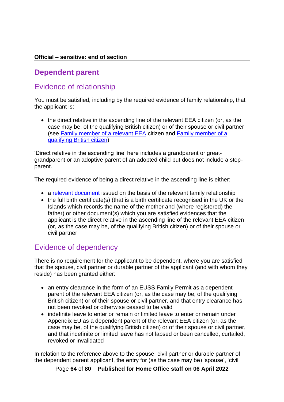#### **Official – sensitive: end of section**

#### **Dependent parent**

## Evidence of relationship

You must be satisfied, including by the required evidence of family relationship, that the applicant is:

• the direct relative in the ascending line of the relevant EEA citizen (or, as the case may be, of the qualifying British citizen) or of their spouse or civil partner (see [Family member of a relevant EEA](#page-43-0) citizen and [Family member of a](#page-46-0)  [qualifying British citizen\)](#page-46-0)

'Direct relative in the ascending line' here includes a grandparent or greatgrandparent or an adoptive parent of an adopted child but does not include a stepparent.

The required evidence of being a direct relative in the ascending line is either:

- a [relevant document](#page-45-0) issued on the basis of the relevant family relationship
- the full birth certificate(s) (that is a birth certificate recognised in the UK or the Islands which records the name of the mother and (where registered) the father) or other document(s) which you are satisfied evidences that the applicant is the direct relative in the ascending line of the relevant EEA citizen (or, as the case may be, of the qualifying British citizen) or of their spouse or civil partner

#### Evidence of dependency

There is no requirement for the applicant to be dependent, where you are satisfied that the spouse, civil partner or durable partner of the applicant (and with whom they reside) has been granted either:

- an entry clearance in the form of an EUSS Family Permit as a dependent parent of the relevant EEA citizen (or, as the case may be, of the qualifying British citizen) or of their spouse or civil partner, and that entry clearance has not been revoked or otherwise ceased to be valid
- indefinite leave to enter or remain or limited leave to enter or remain under Appendix EU as a dependent parent of the relevant EEA citizen (or, as the case may be, of the qualifying British citizen) or of their spouse or civil partner, and that indefinite or limited leave has not lapsed or been cancelled, curtailed, revoked or invalidated

In relation to the reference above to the spouse, civil partner or durable partner of the dependent parent applicant, the entry for (as the case may be) 'spouse', 'civil

Page **64** of **80 Published for Home Office staff on 06 April 2022**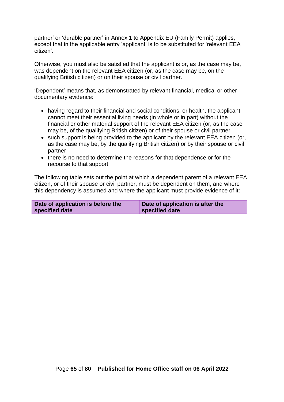partner' or 'durable partner' in Annex 1 to Appendix EU (Family Permit) applies, except that in the applicable entry 'applicant' is to be substituted for 'relevant EEA citizen'.

Otherwise, you must also be satisfied that the applicant is or, as the case may be, was dependent on the relevant EEA citizen (or, as the case may be, on the qualifying British citizen) or on their spouse or civil partner.

'Dependent' means that, as demonstrated by relevant financial, medical or other documentary evidence:

- having regard to their financial and social conditions, or health, the applicant cannot meet their essential living needs (in whole or in part) without the financial or other material support of the relevant EEA citizen (or, as the case may be, of the qualifying British citizen) or of their spouse or civil partner
- such support is being provided to the applicant by the relevant EEA citizen (or, as the case may be, by the qualifying British citizen) or by their spouse or civil partner
- there is no need to determine the reasons for that dependence or for the recourse to that support

The following table sets out the point at which a dependent parent of a relevant EEA citizen, or of their spouse or civil partner, must be dependent on them, and where this dependency is assumed and where the applicant must provide evidence of it:

| Date of application is before the | Date of application is after the |
|-----------------------------------|----------------------------------|
| specified date                    | specified date                   |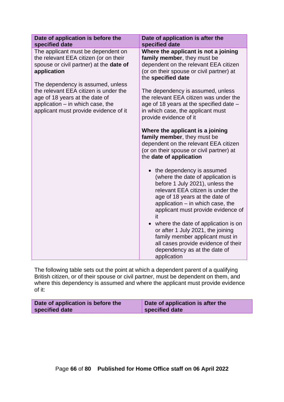| Date of application is before the<br>specified date                                                                                                                                         | Date of application is after the<br>specified date                                                                                                                                                                                                                                                                                                                                                                                                                |
|---------------------------------------------------------------------------------------------------------------------------------------------------------------------------------------------|-------------------------------------------------------------------------------------------------------------------------------------------------------------------------------------------------------------------------------------------------------------------------------------------------------------------------------------------------------------------------------------------------------------------------------------------------------------------|
| The applicant must be dependent on<br>the relevant EEA citizen (or on their<br>spouse or civil partner) at the date of<br>application                                                       | Where the applicant is not a joining<br>family member, they must be<br>dependent on the relevant EEA citizen<br>(or on their spouse or civil partner) at<br>the specified date                                                                                                                                                                                                                                                                                    |
| The dependency is assumed, unless<br>the relevant EEA citizen is under the<br>age of 18 years at the date of<br>application $-$ in which case, the<br>applicant must provide evidence of it | The dependency is assumed, unless<br>the relevant EEA citizen was under the<br>age of 18 years at the specified date –<br>in which case, the applicant must<br>provide evidence of it                                                                                                                                                                                                                                                                             |
|                                                                                                                                                                                             | Where the applicant is a joining<br>family member, they must be<br>dependent on the relevant EEA citizen<br>(or on their spouse or civil partner) at<br>the date of application                                                                                                                                                                                                                                                                                   |
|                                                                                                                                                                                             | • the dependency is assumed<br>(where the date of application is<br>before 1 July 2021), unless the<br>relevant EEA citizen is under the<br>age of 18 years at the date of<br>application $-$ in which case, the<br>applicant must provide evidence of<br>it<br>where the date of application is on<br>or after 1 July 2021, the joining<br>family member applicant must in<br>all cases provide evidence of their<br>dependency as at the date of<br>application |

The following table sets out the point at which a dependent parent of a qualifying British citizen, or of their spouse or civil partner, must be dependent on them, and where this dependency is assumed and where the applicant must provide evidence of it:

| Date of application is before the | Date of application is after the |
|-----------------------------------|----------------------------------|
| specified date                    | specified date                   |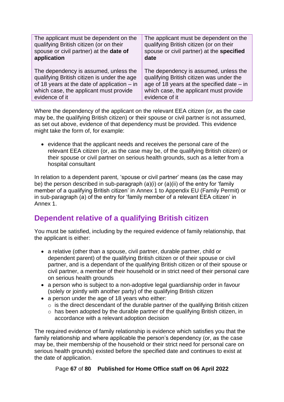| The applicant must be dependent on the        | The applicant must be dependent on the       |
|-----------------------------------------------|----------------------------------------------|
| qualifying British citizen (or on their       | qualifying British citizen (or on their      |
| spouse or civil partner) at the date of       | spouse or civil partner) at the specified    |
| application                                   | date                                         |
| The dependency is assumed, unless the         | The dependency is assumed, unless the        |
| qualifying British citizen is under the age   | qualifying British citizen was under the     |
| of 18 years at the date of application $-$ in | age of 18 years at the specified date $-$ in |
| which case, the applicant must provide        | which case, the applicant must provide       |
| evidence of it                                | evidence of it                               |

Where the dependency of the applicant on the relevant EEA citizen (or, as the case may be, the qualifying British citizen) or their spouse or civil partner is not assumed, as set out above, evidence of that dependency must be provided. This evidence might take the form of, for example:

• evidence that the applicant needs and receives the personal care of the relevant EEA citizen (or, as the case may be, of the qualifying British citizen) or their spouse or civil partner on serious health grounds, such as a letter from a hospital consultant

In relation to a dependent parent, 'spouse or civil partner' means (as the case may be) the person described in sub-paragraph (a)(i) or (a)(ii) of the entry for 'family member of a qualifying British citizen' in Annex 1 to Appendix EU (Family Permit) or in sub-paragraph (a) of the entry for 'family member of a relevant EEA citizen' in Annex 1.

# **Dependent relative of a qualifying British citizen**

You must be satisfied, including by the required evidence of family relationship, that the applicant is either:

- a relative (other than a spouse, civil partner, durable partner, child or dependent parent) of the qualifying British citizen or of their spouse or civil partner, and is a dependant of the qualifying British citizen or of their spouse or civil partner, a member of their household or in strict need of their personal care on serious health grounds
- a person who is subject to a non-adoptive legal guardianship order in favour (solely or jointly with another party) of the qualifying British citizen
- a person under the age of 18 years who either:
	- $\circ$  is the direct descendant of the durable partner of the qualifying British citizen
	- o has been adopted by the durable partner of the qualifying British citizen, in accordance with a relevant adoption decision

The required evidence of family relationship is evidence which satisfies you that the family relationship and where applicable the person's dependency (or, as the case may be, their membership of the household or their strict need for personal care on serious health grounds) existed before the specified date and continues to exist at the date of application.

Page **67** of **80 Published for Home Office staff on 06 April 2022**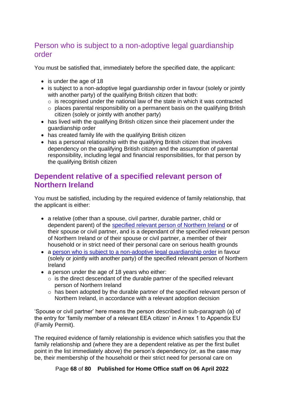# Person who is subject to a non-adoptive legal guardianship order

You must be satisfied that, immediately before the specified date, the applicant:

- is under the age of 18
- is subject to a non-adoptive legal guardianship order in favour (solely or jointly with another party) of the qualifying British citizen that both:
	- $\circ$  is recognised under the national law of the state in which it was contracted
	- $\circ$  places parental responsibility on a permanent basis on the qualifying British citizen (solely or jointly with another party)
- has lived with the qualifying British citizen since their placement under the guardianship order
- has created family life with the qualifying British citizen
- has a personal relationship with the qualifying British citizen that involves dependency on the qualifying British citizen and the assumption of parental responsibility, including legal and financial responsibilities, for that person by the qualifying British citizen

## <span id="page-67-0"></span>**Dependent relative of a specified relevant person of Northern Ireland**

You must be satisfied, including by the required evidence of family relationship, that the applicant is either:

- a relative (other than a spouse, civil partner, durable partner, child or dependent parent) of the [specified relevant person of Northern Ireland](#page-33-0) or of their spouse or civil partner, and is a dependant of the specified relevant person of Northern Ireland or of their spouse or civil partner, a member of their household or in strict need of their personal care on serious health grounds
- a [person who is subject to a non-adoptive legal guardianship order](#page-68-0) in favour (solely or jointly with another party) of the specified relevant person of Northern Ireland
- a person under the age of 18 years who either:
	- $\circ$  is the direct descendant of the durable partner of the specified relevant person of Northern Ireland
	- o has been adopted by the durable partner of the specified relevant person of Northern Ireland, in accordance with a relevant adoption decision

'Spouse or civil partner' here means the person described in sub-paragraph (a) of the entry for 'family member of a relevant EEA citizen' in Annex 1 to Appendix EU (Family Permit).

The required evidence of family relationship is evidence which satisfies you that the family relationship and (where they are a dependent relative as per the first bullet point in the list immediately above) the person's dependency (or, as the case may be, their membership of the household or their strict need for personal care on

Page **68** of **80 Published for Home Office staff on 06 April 2022**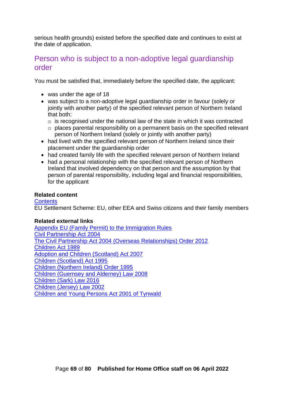serious health grounds) existed before the specified date and continues to exist at the date of application.

#### <span id="page-68-0"></span>Person who is subject to a non-adoptive legal guardianship order

You must be satisfied that, immediately before the specified date, the applicant:

- was under the age of 18
- was subject to a non-adoptive legal guardianship order in favour (solely or jointly with another party) of the specified relevant person of Northern Ireland that both:
	- $\circ$  is recognised under the national law of the state in which it was contracted
	- o places parental responsibility on a permanent basis on the specified relevant person of Northern Ireland (solely or jointly with another party)
- had lived with the specified relevant person of Northern Ireland since their placement under the guardianship order
- had created family life with the specified relevant person of Northern Ireland
- had a personal relationship with the specified relevant person of Northern Ireland that involved dependency on that person and the assumption by that person of parental responsibility, including legal and financial responsibilities, for the applicant

#### **Related content**

**[Contents](#page-1-0)** EU Settlement Scheme: EU, other EEA and Swiss citizens and their family members

#### **Related external links**

[Appendix EU \(Family Permit\) to the Immigration Rules](https://www.gov.uk/guidance/immigration-rules/appendix-eu-family-permit) [Civil Partnership Act 2004](https://www.legislation.gov.uk/ukpga/2004/33/contents) [The Civil Partnership Act 2004 \(Overseas Relationships\) Order 2012](https://www.legislation.gov.uk/uksi/2012/2976/contents/made) [Children Act 1989](https://www.legislation.gov.uk/ukpga/1989/41/contents) [Adoption and Children \(Scotland\) Act 2007](https://www.legislation.gov.uk/asp/2007/4/contents) [Children \(Scotland\) Act 1995](https://www.legislation.gov.uk/ukpga/1995/36/contents) [Children \(Northern Ireland\) Order 1995](https://www.legislation.gov.uk/nisi/1995/755/contents/made) [Children \(Guernsey and Alderney\) Law 2008](http://www.guernseylegalresources.gg/article/94046/Children-Guernsey-and-Alderney-Law-2008) [Children \(Sark\) Law 2016](http://www.guernseylegalresources.gg/article/155422/Children-Sark-Law-2016-Consolidated-text) [Children \(Jersey\) Law 2002](https://www.jerseylaw.je/laws/revised/Pages/12.200.aspx) [Children and Young Persons Act 2001 of Tynwald](https://www.proceduresonline.com/iom/SCB/pdfs/child_and_yp_act_2001_chap_20.pdf)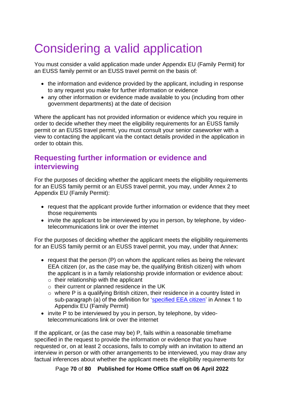# Considering a valid application

You must consider a valid application made under Appendix EU (Family Permit) for an EUSS family permit or an EUSS travel permit on the basis of:

- the information and evidence provided by the applicant, including in response to any request you make for further information or evidence
- any other information or evidence made available to you (including from other government departments) at the date of decision

Where the applicant has not provided information or evidence which you require in order to decide whether they meet the eligibility requirements for an EUSS family permit or an EUSS travel permit, you must consult your senior caseworker with a view to contacting the applicant via the contact details provided in the application in order to obtain this.

## **Requesting further information or evidence and interviewing**

For the purposes of deciding whether the applicant meets the eligibility requirements for an EUSS family permit or an EUSS travel permit, you may, under Annex 2 to Appendix EU (Family Permit):

- request that the applicant provide further information or evidence that they meet those requirements
- invite the applicant to be interviewed by you in person, by telephone, by videotelecommunications link or over the internet

For the purposes of deciding whether the applicant meets the eligibility requirements for an EUSS family permit or an EUSS travel permit, you may, under that Annex:

- request that the person (P) on whom the applicant relies as being the relevant EEA citizen (or, as the case may be, the qualifying British citizen) with whom the applicant is in a family relationship provide information or evidence about:
	- $\circ$  their relationship with the applicant
	- o their current or planned residence in the UK
	- o where P is a qualifying British citizen, their residence in a country listed in sub-paragraph (a) of the definition for ['specified EEA citizen'](#page-24-0) in Annex 1 to Appendix EU (Family Permit)
- invite P to be interviewed by you in person, by telephone, by videotelecommunications link or over the internet

If the applicant, or (as the case may be) P, fails within a reasonable timeframe specified in the request to provide the information or evidence that you have requested or, on at least 2 occasions, fails to comply with an invitation to attend an interview in person or with other arrangements to be interviewed, you may draw any factual inferences about whether the applicant meets the eligibility requirements for

Page **70** of **80 Published for Home Office staff on 06 April 2022**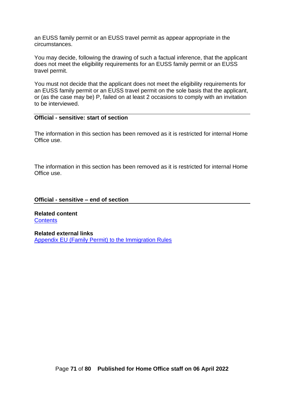an EUSS family permit or an EUSS travel permit as appear appropriate in the circumstances.

You may decide, following the drawing of such a factual inference, that the applicant does not meet the eligibility requirements for an EUSS family permit or an EUSS travel permit.

You must not decide that the applicant does not meet the eligibility requirements for an EUSS family permit or an EUSS travel permit on the sole basis that the applicant, or (as the case may be) P, failed on at least 2 occasions to comply with an invitation to be interviewed.

#### **Official - sensitive: start of section**

The information in this section has been removed as it is restricted for internal Home Office use.

The information in this section has been removed as it is restricted for internal Home Office use.

#### **Official - sensitive – end of section**

**Related content [Contents](#page-1-0)** 

**Related external links** [Appendix EU \(Family Permit\) to the Immigration Rules](https://www.gov.uk/guidance/immigration-rules/appendix-eu-family-permit)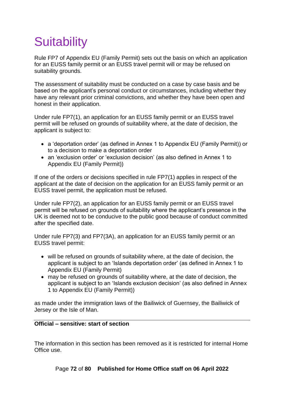# **Suitability**

Rule FP7 of Appendix EU (Family Permit) sets out the basis on which an application for an EUSS family permit or an EUSS travel permit will or may be refused on suitability grounds.

The assessment of suitability must be conducted on a case by case basis and be based on the applicant's personal conduct or circumstances, including whether they have any relevant prior criminal convictions, and whether they have been open and honest in their application.

Under rule FP7(1), an application for an EUSS family permit or an EUSS travel permit will be refused on grounds of suitability where, at the date of decision, the applicant is subject to:

- a 'deportation order' (as defined in Annex 1 to Appendix EU (Family Permit)) or to a decision to make a deportation order
- an 'exclusion order' or 'exclusion decision' (as also defined in Annex 1 to Appendix EU (Family Permit))

If one of the orders or decisions specified in rule FP7(1) applies in respect of the applicant at the date of decision on the application for an EUSS family permit or an EUSS travel permit, the application must be refused.

Under rule FP7(2), an application for an EUSS family permit or an EUSS travel permit will be refused on grounds of suitability where the applicant's presence in the UK is deemed not to be conducive to the public good because of conduct committed after the specified date.

Under rule FP7(3) and FP7(3A), an application for an EUSS family permit or an EUSS travel permit:

- will be refused on grounds of suitability where, at the date of decision, the applicant is subject to an 'Islands deportation order' (as defined in Annex 1 to Appendix EU (Family Permit)
- may be refused on grounds of suitability where, at the date of decision, the applicant is subject to an 'Islands exclusion decision' (as also defined in Annex 1 to Appendix EU (Family Permit))

as made under the immigration laws of the Bailiwick of Guernsey, the Bailiwick of Jersey or the Isle of Man.

#### **Official – sensitive: start of section**

The information in this section has been removed as it is restricted for internal Home Office use.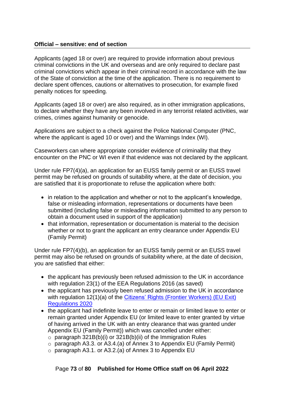## **Official – sensitive: end of section**

Applicants (aged 18 or over) are required to provide information about previous criminal convictions in the UK and overseas and are only required to declare past criminal convictions which appear in their criminal record in accordance with the law of the State of conviction at the time of the application. There is no requirement to declare spent offences, cautions or alternatives to prosecution, for example fixed penalty notices for speeding.

Applicants (aged 18 or over) are also required, as in other immigration applications, to declare whether they have any been involved in any terrorist related activities, war crimes, crimes against humanity or genocide.

Applications are subject to a check against the Police National Computer (PNC, where the applicant is aged 10 or over) and the Warnings Index (WI).

Caseworkers can where appropriate consider evidence of criminality that they encounter on the PNC or WI even if that evidence was not declared by the applicant.

Under rule FP7(4)(a), an application for an EUSS family permit or an EUSS travel permit may be refused on grounds of suitability where, at the date of decision, you are satisfied that it is proportionate to refuse the application where both:

- in relation to the application and whether or not to the applicant's knowledge, false or misleading information, representations or documents have been submitted (including false or misleading information submitted to any person to obtain a document used in support of the application)
- that information, representation or documentation is material to the decision whether or not to grant the applicant an entry clearance under Appendix EU (Family Permit)

Under rule FP7(4)(b), an application for an EUSS family permit or an EUSS travel permit may also be refused on grounds of suitability where, at the date of decision, you are satisfied that either:

- the applicant has previously been refused admission to the UK in accordance with regulation 23(1) of the EEA Regulations 2016 (as saved)
- the applicant has previously been refused admission to the UK in accordance with regulation 12(1)(a) of the Citizens' Rights (Frontier Workers) (EU Exit) [Regulations 2020](https://www.legislation.gov.uk/ukdsi/2020/9780348212228)
- the applicant had indefinite leave to enter or remain or limited leave to enter or remain granted under Appendix EU (or limited leave to enter granted by virtue of having arrived in the UK with an entry clearance that was granted under Appendix EU (Family Permit)) which was cancelled under either:
	- $\circ$  paragraph 321B(b)(i) or 321B(b)(ii) of the Immigration Rules
	- $\circ$  paragraph A3.3. or A3.4.(a) of Annex 3 to Appendix EU (Family Permit)
	- o paragraph A3.1. or A3.2.(a) of Annex 3 to Appendix EU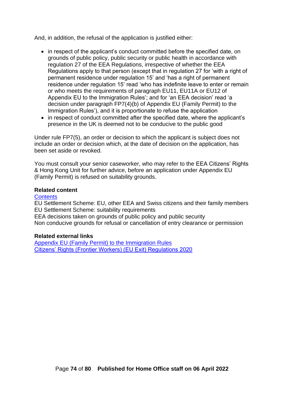And, in addition, the refusal of the application is justified either:

- in respect of the applicant's conduct committed before the specified date, on grounds of public policy, public security or public health in accordance with regulation 27 of the EEA Regulations, irrespective of whether the EEA Regulations apply to that person (except that in regulation 27 for 'with a right of permanent residence under regulation 15' and 'has a right of permanent residence under regulation 15' read 'who has indefinite leave to enter or remain or who meets the requirements of paragraph EU11, EU11A or EU12 of Appendix EU to the Immigration Rules'; and for 'an EEA decision' read 'a decision under paragraph FP7(4)(b) of Appendix EU (Family Permit) to the Immigration Rules'), and it is proportionate to refuse the application
- in respect of conduct committed after the specified date, where the applicant's presence in the UK is deemed not to be conducive to the public good

Under rule FP7(5), an order or decision to which the applicant is subject does not include an order or decision which, at the date of decision on the application, has been set aside or revoked.

You must consult your senior caseworker, who may refer to the EEA Citizens' Rights & Hong Kong Unit for further advice, before an application under Appendix EU (Family Permit) is refused on suitability grounds.

### **Related content**

#### **[Contents](#page-1-0)**

EU Settlement Scheme: EU, other EEA and Swiss citizens and their family members EU Settlement Scheme: suitability requirements

EEA decisions taken on grounds of public policy and public security

Non conducive grounds for refusal or cancellation of entry clearance or permission

#### **Related external links**

[Appendix EU \(Family Permit\) to the Immigration Rules](https://www.gov.uk/guidance/immigration-rules/appendix-eu-family-permit) [Citizens' Rights \(Frontier Workers\) \(EU Exit\) Regulations 2020](https://www.legislation.gov.uk/ukdsi/2020/9780348212228)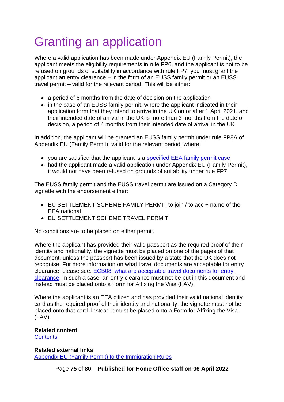# Granting an application

Where a valid application has been made under Appendix EU (Family Permit), the applicant meets the eligibility requirements in rule FP6, and the applicant is not to be refused on grounds of suitability in accordance with rule FP7, you must grant the applicant an entry clearance – in the form of an EUSS family permit or an EUSS travel permit – valid for the relevant period. This will be either:

- a period of 6 months from the date of decision on the application
- in the case of an EUSS family permit, where the applicant indicated in their application form that they intend to arrive in the UK on or after 1 April 2021, and their intended date of arrival in the UK is more than 3 months from the date of decision, a period of 4 months from their intended date of arrival in the UK

In addition, the applicant will be granted an EUSS family permit under rule FP8A of Appendix EU (Family Permit), valid for the relevant period, where:

- you are satisfied that the applicant is a [specified EEA family permit case](#page-25-0)
- had the applicant made a valid application under Appendix EU (Family Permit), it would not have been refused on grounds of suitability under rule FP7

The EUSS family permit and the EUSS travel permit are issued on a Category D vignette with the endorsement either:

- EU SETTLEMENT SCHEME FAMILY PERMIT to join / to acc + name of the EEA national
- EU SETTLEMENT SCHEME TRAVEL PERMIT

No conditions are to be placed on either permit.

Where the applicant has provided their valid passport as the required proof of their identity and nationality, the vignette must be placed on one of the pages of that document, unless the passport has been issued by a state that the UK does not recognise. For more information on what travel documents are acceptable for entry clearance, please see: [ECB08: what are acceptable travel documents for entry](https://www.gov.uk/government/publications/what-are-acceptable-travel-documents-for-entry-clearance-ecb08/ecb08-what-are-acceptable-travel-documents-for-entry-clearance)  [clearance.](https://www.gov.uk/government/publications/what-are-acceptable-travel-documents-for-entry-clearance-ecb08/ecb08-what-are-acceptable-travel-documents-for-entry-clearance) In such a case, an entry clearance must not be put in this document and instead must be placed onto a Form for Affixing the Visa (FAV).

Where the applicant is an EEA citizen and has provided their valid national identity card as the required proof of their identity and nationality, the vignette must not be placed onto that card. Instead it must be placed onto a Form for Affixing the Visa (FAV).

#### **Related content [Contents](#page-1-0)**

**Related external links** [Appendix EU \(Family Permit\) to the Immigration Rules](https://www.gov.uk/guidance/immigration-rules/appendix-eu-family-permit)

Page **75** of **80 Published for Home Office staff on 06 April 2022**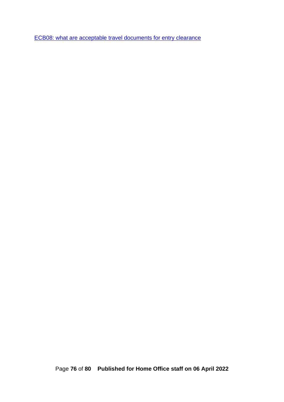[ECB08: what are acceptable travel documents for entry clearance](https://www.gov.uk/government/publications/what-are-acceptable-travel-documents-for-entry-clearance-ecb08/ecb08-what-are-acceptable-travel-documents-for-entry-clearance)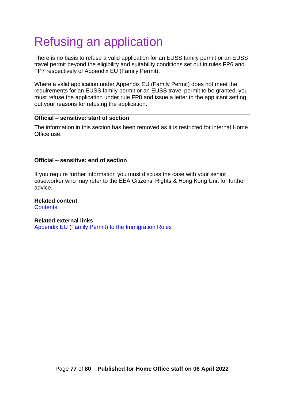# Refusing an application

There is no basis to refuse a valid application for an EUSS family permit or an EUSS travel permit beyond the eligibility and suitability conditions set out in rules FP6 and FP7 respectively of Appendix EU (Family Permit).

Where a valid application under Appendix EU (Family Permit) does not meet the requirements for an EUSS family permit or an EUSS travel permit to be granted, you must refuse the application under rule FP8 and issue a letter to the applicant setting out your reasons for refusing the application.

# **Official – sensitive: start of section**

The information in this section has been removed as it is restricted for internal Home Office use.

# **Official – sensitive: end of section**

If you require further information you must discuss the case with your senior caseworker who may refer to the EEA Citizens' Rights & Hong Kong Unit for further advice.

### **Related content**

**[Contents](#page-1-0)** 

#### **Related external links**

[Appendix EU \(Family Permit\) to the Immigration Rules](https://www.gov.uk/guidance/immigration-rules/appendix-eu-family-permit)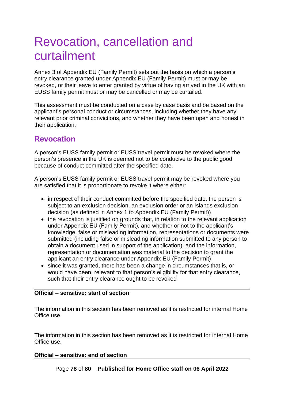# Revocation, cancellation and curtailment

Annex 3 of Appendix EU (Family Permit) sets out the basis on which a person's entry clearance granted under Appendix EU (Family Permit) must or may be revoked, or their leave to enter granted by virtue of having arrived in the UK with an EUSS family permit must or may be cancelled or may be curtailed.

This assessment must be conducted on a case by case basis and be based on the applicant's personal conduct or circumstances, including whether they have any relevant prior criminal convictions, and whether they have been open and honest in their application.

# **Revocation**

A person's EUSS family permit or EUSS travel permit must be revoked where the person's presence in the UK is deemed not to be conducive to the public good because of conduct committed after the specified date.

A person's EUSS family permit or EUSS travel permit may be revoked where you are satisfied that it is proportionate to revoke it where either:

- in respect of their conduct committed before the specified date, the person is subject to an exclusion decision, an exclusion order or an Islands exclusion decision (as defined in Annex 1 to Appendix EU (Family Permit))
- the revocation is justified on grounds that, in relation to the relevant application under Appendix EU (Family Permit), and whether or not to the applicant's knowledge, false or misleading information, representations or documents were submitted (including false or misleading information submitted to any person to obtain a document used in support of the application); and the information, representation or documentation was material to the decision to grant the applicant an entry clearance under Appendix EU (Family Permit)
- since it was granted, there has been a change in circumstances that is, or would have been, relevant to that person's eligibility for that entry clearance, such that their entry clearance ought to be revoked

# **Official – sensitive: start of section**

The information in this section has been removed as it is restricted for internal Home Office use.

The information in this section has been removed as it is restricted for internal Home Office use.

## **Official – sensitive: end of section**

Page **78** of **80 Published for Home Office staff on 06 April 2022**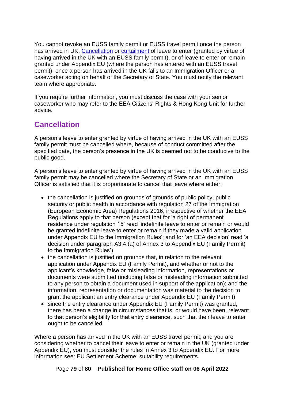You cannot revoke an EUSS family permit or EUSS travel permit once the person has arrived in UK. [Cancellation](#page-78-0) or [curtailment](#page-79-0) of leave to enter (granted by virtue of having arrived in the UK with an EUSS family permit), or of leave to enter or remain granted under Appendix EU (where the person has entered with an EUSS travel permit), once a person has arrived in the UK falls to an Immigration Officer or a caseworker acting on behalf of the Secretary of State. You must notify the relevant team where appropriate.

If you require further information, you must discuss the case with your senior caseworker who may refer to the EEA Citizens' Rights & Hong Kong Unit for further advice.

# <span id="page-78-0"></span>**Cancellation**

A person's leave to enter granted by virtue of having arrived in the UK with an EUSS family permit must be cancelled where, because of conduct committed after the specified date, the person's presence in the UK is deemed not to be conducive to the public good.

A person's leave to enter granted by virtue of having arrived in the UK with an EUSS family permit may be cancelled where the Secretary of State or an Immigration Officer is satisfied that it is proportionate to cancel that leave where either:

- the cancellation is justified on grounds of grounds of public policy, public security or public health in accordance with regulation 27 of the Immigration (European Economic Area) Regulations 2016, irrespective of whether the EEA Regulations apply to that person (except that for 'a right of permanent residence under regulation 15' read 'indefinite leave to enter or remain or would be granted indefinite leave to enter or remain if they made a valid application under Appendix EU to the Immigration Rules'; and for 'an EEA decision' read 'a decision under paragraph A3.4.(a) of Annex 3 to Appendix EU (Family Permit) to the Immigration Rules')
- the cancellation is justified on grounds that, in relation to the relevant application under Appendix EU (Family Permit), and whether or not to the applicant's knowledge, false or misleading information, representations or documents were submitted (including false or misleading information submitted to any person to obtain a document used in support of the application); and the information, representation or documentation was material to the decision to grant the applicant an entry clearance under Appendix EU (Family Permit)
- since the entry clearance under Appendix EU (Family Permit) was granted, there has been a change in circumstances that is, or would have been, relevant to that person's eligibility for that entry clearance, such that their leave to enter ought to be cancelled

Where a person has arrived in the UK with an EUSS travel permit, and you are considering whether to cancel their leave to enter or remain in the UK (granted under Appendix EU), you must consider the rules in Annex 3 to Appendix EU. For more information see: EU Settlement Scheme: suitability requirements.

Page **79** of **80 Published for Home Office staff on 06 April 2022**